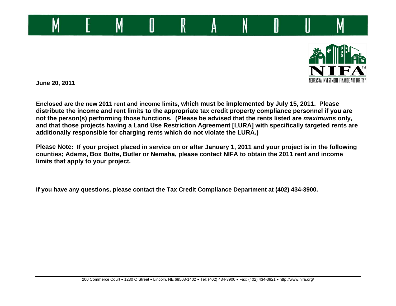



**June 20, 2011** 

**Enclosed are the new 2011 rent and income limits, which must be implemented by July 15, 2011. Please distribute the income and rent limits to the appropriate tax credit property compliance personnel if you are not the person(s) performing those functions. (Please be advised that the rents listed are** *maximums* **only, and that those projects having a Land Use Restriction Agreement [LURA] with specifically targeted rents are additionally responsible for charging rents which do not violate the LURA.)** 

**Please Note: If your project placed in service on or after January 1, 2011 and your project is in the following counties; Adams, Box Butte, Butler or Nemaha, please contact NIFA to obtain the 2011 rent and income limits that apply to your project.** 

**If you have any questions, please contact the Tax Credit Compliance Department at (402) 434-3900.**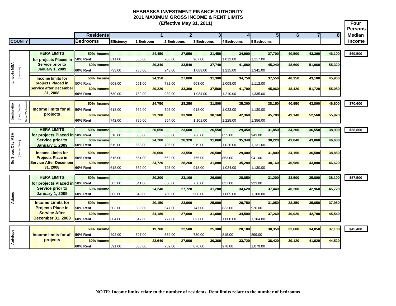**Four** 

|                                            |                                                            |                               |                   |                |                |                  |                  |                  |                  |          |                |        | <b>Persons</b> |
|--------------------------------------------|------------------------------------------------------------|-------------------------------|-------------------|----------------|----------------|------------------|------------------|------------------|------------------|----------|----------------|--------|----------------|
|                                            |                                                            | <b>Residents</b>              |                   |                | $\blacksquare$ | $\overline{2}$   |                  | 3                | 5 <sup>1</sup>   | $6 \mid$ | $\overline{7}$ | 8      | <b>Median</b>  |
| <b>COUNTY</b>                              |                                                            | <b>Bedrooms</b>               | <b>Efficiency</b> | <b>Bedroom</b> |                | 2 Bedrooms       | 3 Bedrooms       | 4 Bedrooms       | 5 Bedrooms       |          |                |        | <b>Income</b>  |
|                                            |                                                            |                               |                   |                |                |                  |                  |                  |                  |          |                |        |                |
|                                            | <b>HERA LIMITS</b>                                         | 50% Income                    |                   |                | 24.450         | 27,950           | 31.450           | 34.900           | 37.700           | 40.500   | 43,300         | 46,100 | \$69,500       |
|                                            | for projects Placed in                                     | <b>50% Rent</b>               | 611.00            | 655.00         |                | 786.00           | 907.00           | 1.012.00         | 1.117.00         |          |                |        |                |
|                                            | <b>Service prior to</b>                                    | 60% Income                    |                   |                | 29.340         | 33.540           | 37.740           | 41.880           | 45.240           | 48,600   | 51,960         | 55,320 |                |
|                                            | <b>January 1, 2009</b>                                     | 60% Rent                      | 733.00            | 786.00         |                | 943.00           | 1,089.00         | 1,215.00         | 1,341.00         |          |                |        |                |
| Lincoln MSA<br>(Lancaster)                 |                                                            | 50% Income                    |                   |                | 24,350         | 27,800           | 31.300           | 34.750           | 37,550           | 40,350   |                |        |                |
|                                            | <b>Income limits for</b><br>projects Placed in             | <b>50% Rent</b>               | 608.00            | 651.00         |                | 782.00           | 903.00           | 1,008.00         | 1,112.00         |          | 43,100         | 45,900 |                |
|                                            | <b>Service after December</b>                              | 60% Income                    |                   |                | 29,220         | 33,360           | 37.560           | 41,700           | 45,060           | 48,420   | 51,720         | 55,080 |                |
|                                            | 31, 2008                                                   | 60% Rent                      | 730.00            | 782.00         |                | 939.00           | 1,084.00         | 1,210.00         | 1,335.00         |          |                |        |                |
|                                            |                                                            |                               |                   |                |                |                  |                  |                  |                  |          |                |        |                |
|                                            |                                                            | 50% Income                    |                   |                | 24,750         | 28,250           | 31,800           | 35,300           | 38,150           | 40,950   | 43,800         | 46,600 | \$70,600       |
| Washingtor<br>Omaha MSA<br>(Cass, Douglas, | <b>Income limits for all</b>                               | <b>50% Rent</b>               | 618.00            | 662.00         |                | 795.00           | 918.00           | 1,023.00         | 1,130.00         |          |                |        |                |
|                                            | projects                                                   | 60% Income                    |                   |                | 29,700         | 33,900           | 38,160           | 42,360           | 45,780           | 49,140   | 52,560         | 55,920 |                |
| Sarpy,                                     |                                                            | 60% Rent                      | 742.00            | 795.00         |                | 954.00           | 1,101.00         | 1,228.00         | 1,356.00         |          |                |        |                |
|                                            |                                                            |                               |                   |                |                |                  |                  |                  |                  |          |                |        |                |
|                                            | <b>HERA LIMITS</b>                                         | 50% Income                    |                   |                | 20,650         | 23,600           | 26,550           | 29,450           | 31,850           | 34,200   | 36,550         | 38,900 | \$58,800       |
| MSA                                        | for projects Placed in 50% Rent<br><b>Service prior to</b> | 60% Income                    | 516.00            | 553.00         | 24.780         | 663.00<br>28.320 | 766.00<br>31.860 | 855.00<br>35.340 | 943.00<br>38.220 | 41.040   | 43,860         | 46.680 |                |
| čity                                       | <b>January 1, 2009</b>                                     | 60% Rent                      | 619.00            | 663.00         |                | 796.00           | 919.00           | 1,026.00         | 1,131.00         |          |                |        |                |
| (Dakota, Dixon)                            |                                                            |                               |                   |                |                |                  |                  |                  |                  |          |                |        |                |
| Sioux                                      | <b>Income Limits for</b>                                   | 50% Income                    |                   |                | 20,600         | 23.550           | 26.500           | 29,400<br>853.00 | 31,800           | 34.150   | 36.500         | 38,850 |                |
| ஃ                                          | <b>Projects Place in</b><br><b>Service After December</b>  | <b>50% Rent</b><br>60% Income | 515.00            | 551.00         | 24,720         | 662.00<br>28.260 | 765.00<br>31.800 | 35.280           | 941.00<br>38.160 | 40,980   | 43,800         | 46,620 |                |
|                                            | 31.2008                                                    | <b>60% Rent</b>               | 618.00            | 662.00         |                | 795.00           | 918.00           | 1,024.00         | 1,130.00         |          |                |        |                |
|                                            |                                                            |                               |                   |                |                |                  |                  |                  |                  |          |                |        |                |
|                                            | <b>HERA LIMITS</b>                                         | 50% Income                    |                   |                | 20.200         | 23.100           | 26.000           | 28,850           | 31.200           | 33.500   | 35,800         | 38,100 | \$57,500       |
|                                            | for projects Placed in 50% Rent                            |                               | 505.00            | 541.00         |                | 650.00           | 750.00           | 837.00           | 923.00           |          |                |        |                |
|                                            | Service prior to                                           | 60% Income                    |                   |                | 24.240         | 27.720           | 31.200           | 34.620           | 37.440           | 40,200   | 42,960         | 45,720 |                |
|                                            | <b>January 1, 2009</b>                                     | 60% Rent                      | 606.00            | 649.00         |                | 780.00           | 900.00           | 1,005.00         | 1,108.00         |          |                |        |                |
| Adams                                      | <b>Income Limits for</b>                                   | 50% Income                    |                   |                | 20,150         | 23,000           | 25,900           | 28,750           | 31,050           | 33,350   | 35,650         | 37,950 |                |
|                                            | <b>Projects Place in</b>                                   | <b>50% Rent</b>               | 503.00            | 539.00         |                | 647.00           | 747.00           | 833.00           | 920.00           |          |                |        |                |
|                                            | <b>Service After</b>                                       | 60% Income                    |                   |                | 24,180         | 27,600           | 31,080           | 34,500           | 37,260           | 40,020   | 42,780         | 45,540 |                |
|                                            | <b>December 31, 2008</b>                                   | 60% Rent                      | 604.00            | 647.00         |                | 777.00           | 897.00           | 1,000.00         | 1,104.00         |          |                |        |                |
|                                            |                                                            |                               |                   |                |                |                  |                  |                  |                  |          |                |        |                |
|                                            |                                                            | 50% Income                    |                   |                | 19,700         | 22,500           | 25,300           | 28,100           | 30,350           | 32,600   | 34,850         | 37,100 | \$45,400       |
|                                            | <b>Income limits for all</b>                               | 50% Rent                      | 492.00            | 527.00         |                | 632.00           | 730.00           | 815.00           | 899.00           |          |                |        |                |
| Antelope                                   | projects                                                   | 60% Income                    |                   |                | 23,640         | 27,000           | 30,360           | 33,720           | 36,420           | 39,120   | 41,820         | 44,520 |                |
|                                            |                                                            | <b>60% Rent</b>               | 591.00            | 633.00         |                | 759.00           | 876.00           | 978.00           | 1,079.00         |          |                |        |                |
|                                            |                                                            |                               |                   |                |                |                  |                  |                  |                  |          |                |        |                |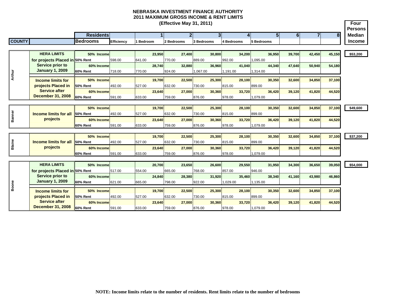**Four PersonsResidents 1 2 3 4 5 6 78 Median COUNTY Bedrooms Efficiency 1 Bedroom 2 Bedrooms 3 Bedrooms 4 Bedrooms 5 Bedrooms Income (Effective May 31, 2011) HERA LIMITS 50% Income 23,950 27,400 30,800 34,200 36,950 39,700 42,450 45,150 \$53,200 for projects Placed in 50% Rent**  598.00 641.00 770.00 889.00 992.00 1,095.00 **60% Income 28,740 32,880 36,960 41,040 44,340 47,640 50,940 54,180 60% Rent** 718.00 770.00 924.00 1,067.00 1,191.00 1,314.00 **50% Income 19,700 22,500 25,300 28,100 30,350 32,600 34,850 37,100 50% Rent** 492.00 527.00 632.00 730.00 815.00 899.00899.00 **60% Income 23,640 27,000 30,360 33,720 36,420 39,120 41,820 44,520 60% Rent** 591.00 633.00 759.00 876.00 978.00 1,079.00 **50% Income 19,700 22,500 25,300 28,100 30,350 32,600 34,850 37,100 \$49,600 50% Rent** 492.00 527.00 632.00 730.00 815.00 899.00**60% Income 23,640 27,000 30,360 33,720 36,420 39,120 41,820 44,520 60% Rent** 591.00 633.00 759.00 876.00 978.00 1,079.00 **50% Income 19,700 22,500 25,300 28,100 30,350 32,600 34,850 37,100 \$37,200 50% Rent** 492.00 527.00 632.00 730.00 815.00 899.00899.00 **60% Income 23,640 27,000 30,360 33,720 36,420 39,120 41,820 44,520 60% Rent** 591.00 633.00 759.00 876.00 978.00 1,079.00 **HERA LIMITS 50% Income 20,700 23,650 26,600 29,550 31,950 34,300 36,650 39,050 \$54,000 for projects Placed in 50% Rent**  517.00 554.00 665.00 768.00 857.00 946.00946.00 **60% Income 24,840 28,380 31,920 35,460 38,340 41,160 43,980 46,860 60% Rent** 621.00 665.00 798.00 922.00 1,029.00 1,135.00 **50% Income 19,700 22,500 25,300 28,100 30,350 32,600 34,850 37,100 50% Rent** 492.00 527.00 632.00 730.00 815.00 899.00**60% Income 23,640 27,000 30,360 33,720 36,420 39,120 41,820 44,520 60% Rent** 591.00 633.00 759.00 876.00 978.00 1,079.00 **Example 15 and 18 and 18 and 18 and 18 and 18 and 18 and 18 and 18 and 18 and 18 and 18 and 18 and 18 and 18 and 18 and 18 and 18 and 18 and 18 and 18 and 18 and 18 and 18 and 18 and 18 and 18 and 18 and 18 and 18 and 18 BlaineIncome limits for all projects Income limits for projects Placed in Service after December 31, 2008 Service prior to January 1, 2009 Arthur Service prior to January 1, 2009 Income limits for projects Placed in Service after December 31, 2008**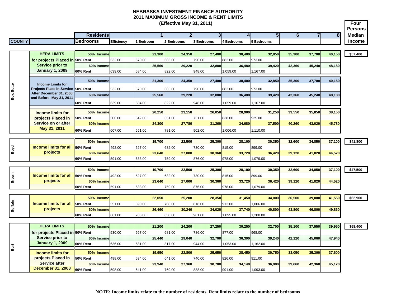|               |                  |                    |           | (Effective May 31, 2011) |            |            |            |  |    | Four<br><b>Persons</b> |
|---------------|------------------|--------------------|-----------|--------------------------|------------|------------|------------|--|----|------------------------|
|               | Residentsl       |                    |           |                          |            |            |            |  | о. | <b>Median</b>          |
| <b>COUNTY</b> | <b>IBedrooms</b> | <b>IEfficiency</b> | 1 Bedroom | 2 Bedrooms               | 3 Bedrooms | 4 Bedrooms | 5 Bedrooms |  |    | <b>Income</b>          |

|             | <b>HERA LIMITS</b>                                             | 50% Income |        | 21,300           | 24,350           | 27,400           | 30,400           | 32,850           | 35,300 | 37,700 | 40,150 | \$57,400 |
|-------------|----------------------------------------------------------------|------------|--------|------------------|------------------|------------------|------------------|------------------|--------|--------|--------|----------|
|             | for projects Placed in 50% Rent<br>Service prior to            | 60% Income | 532.00 | 570.00<br>25,560 | 685.00<br>29,220 | 790.00<br>32,880 | 882.00<br>36,480 | 973.00<br>39,420 | 42,360 | 45,240 | 48,180 |          |
|             | <b>January 1, 2009</b>                                         | 60% Rent   | 639.00 | 684.00           | 822.00           | 948.00           | 1,059.00         | 1,167.00         |        |        |        |          |
|             |                                                                | 50% Income |        | 21,300           | 24,350           | 27,400           | 30,400           | 32,850           | 35,300 | 37,700 | 40,150 |          |
| utte<br>മ   | <b>Income Limits for</b><br>Projects Place in Service 50% Rent |            | 532.00 | 570.00           | 685.00           | 790.00           | 882.00           | 973.00           |        |        |        |          |
| $\tilde{a}$ | After December 31, 2008<br>and Before May 31, 2011             | 60% Income |        | 25,560           | 29,220           | 32,880           | 36,480           | 39,420           | 42,360 | 45,240 | 48,180 |          |
|             |                                                                | 60% Rent   | 639.00 | 684.00           | 822.00           | 948.00           | 1.059.00         | 1,167.00         |        |        |        |          |
|             | <b>Income limits for</b>                                       | 50% Income |        | 20,250           | 23,150           | 26,050           | 28,900           | 31,250           | 33,550 | 35,850 | 38,150 |          |
|             | projects Placed in                                             | 50% Rent   | 506.00 | 542.00           | 651.00           | 751.00           | 838.00           | 925.00           |        |        |        |          |
|             | Service on or after                                            | 60% Income |        | 24,300           | 27,780           | 31,260           | 34,680           | 37,500           | 40,260 | 43,020 | 45,780 |          |
|             | May 31, 2011                                                   | 60% Rent   | 607.00 | 651.00           | 781.00           | 902.00           | 1,006.00         | 1,110.00         |        |        |        |          |
|             |                                                                |            |        |                  |                  |                  |                  |                  |        |        |        |          |
|             |                                                                | 50% Income |        | 19,700           | 22,500           | 25,300           | 28,100           | 30,350           | 32,600 | 34,850 | 37,100 | \$41,800 |

| l o | <b>Income limits for all 50% Rent</b> | __________      | 492.00 | ------<br>527.00 | ____<br>632.00 | ______<br>730.00 | _____<br>815.00 | -----<br>899.00 | -----  | - - - - - | -------- | - - - - |
|-----|---------------------------------------|-----------------|--------|------------------|----------------|------------------|-----------------|-----------------|--------|-----------|----------|---------|
| ∣≃  | <b>projects</b>                       | 60% Income      |        | 23.640           | 27,000         | 30,360           | 33.720          | 36.420          | 39.120 | 11.820    | 44.520   |         |
|     |                                       | <b>60% Rent</b> | 591.00 | 633.00           | 759.00         | 876.00           | 978.00          | 1.079.00        |        |           |          |         |

|                                       | 50% Income |        | 19.700 | 22,500 | 25,300 | 28.100 | 30,350   | 32.600 | 34.850 | 37.100 | \$47,500 |
|---------------------------------------|------------|--------|--------|--------|--------|--------|----------|--------|--------|--------|----------|
| <b>Income limits for all 50% Rent</b> |            | 492.00 | 527.00 | 632.00 | 730.00 | 815.00 | 899.00   |        |        |        |          |
| projects                              | 60% Income |        | 23.640 | 27,000 | 30,360 | 33.720 | 36.420   | 39.120 | 11.820 | 44,520 |          |
|                                       | l60% Rent  | 591.00 | 633.00 | 759.00 | 876.00 | 978.00 | 1,079.00 |        |        |        |          |

|   |                                       | 50%<br><b>Income</b> |        | 22.050 | 25.200 | 28,350 |          | 31.450 | 34.000   | 36.500 | 39,000 | 41.550 | \$62,900 |
|---|---------------------------------------|----------------------|--------|--------|--------|--------|----------|--------|----------|--------|--------|--------|----------|
|   | <b>Income limits for all 50% Rent</b> |                      | 551.00 | 590.00 | 708.00 | 818.00 | 912.00   |        | 006.00   |        |        |        |          |
| ⋒ | projects                              | 60% Income           |        | 26.460 | 30.240 | 34.020 |          | 37.740 | 40.800   | 43.800 | 46.800 | 49.860 |          |
|   |                                       | <b>60% Rent</b>      | 661.00 | 708.00 | 850.00 | 981.00 | 1,095.00 |        | 1,208.00 |        |        |        |          |

|     | <b>HERA LIMITS</b>              | 50% Income      |        | 21.200 | 24.200 | 27.250 | 30.250   | 32,700   | 35.100 | 37,550 | 39,950 |
|-----|---------------------------------|-----------------|--------|--------|--------|--------|----------|----------|--------|--------|--------|
|     | for projects Placed in 50% Rent |                 | 530.00 | 567.00 | 681.00 | 786.00 | 877.00   | 968.00   |        |        |        |
|     | Service prior to                | 60% Income      |        | 25.440 | 29,040 | 32.700 | 36,300   | 39,240   | 42,120 | 45,060 | 47,940 |
|     | <b>January 1, 2009</b>          | 60% Rent        | 636.00 | 681.00 | 817.00 | 944.00 | 1,053.00 | 1,162.00 |        |        |        |
| Bur |                                 |                 |        |        |        |        |          |          |        |        |        |
|     |                                 |                 |        |        |        |        |          |          |        |        |        |
|     | <b>Income limits for</b>        | 50% Income      |        | 19.950 | 22,800 | 25.650 | 28,450   | 30.750   | 33,050 | 35,300 | 37,600 |
|     | projects Placed in              | <b>50% Rent</b> | 498.00 | 534.00 | 641.00 | 740.00 | 826.00   | 911.00   |        |        |        |
|     | <b>Service after</b>            | 60% Income      |        | 23.940 | 27.360 | 30.780 | 34.140   | 36,900   | 39,660 | 42.360 | 45,120 |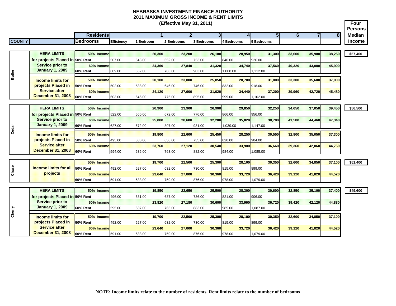**(Effective May 31, 2011) Four PersonsResidents 1 2 3 4 5 6 78 Median COUNTY Bedrooms Efficiency 1 Bedroom 2 Bedrooms 3 Bedrooms 4 Bedrooms 5 Bedrooms Income HERA LIMITS 50% Income 20,300 23,200 26,100 28,950 31,300 33,600 35,900 38,250 \$57,400 for projects Placed in 50% Rent**  507.00 543.00 652.00 753.00 840.00 926.00**Service prior to 60% Income 24,360 27,840 31,320 34,740 37,560 40,320 43,080 45,900 January 1, 2009 Butler 60% Rent**Lapan **Butler's Cherry Construct** of the Music of the Music of the Music of the Music of the Music of the Music of the Music of the Music of the Music of the Music of the Music of the Music of the Music of the Music of the 609.00 652.00 783.00 903.00 1,008.00 1,112.00 **Income limits for 50% Income 20,100 23,000 25,850 28,700 31,000 33,300 35,600 37,900 projects Placed in 50% Rent** 502.00 538.00 646.00 746.00 832.00 918.00**Service after 60% Income 24,120 27,600 31,020 34,440 37,200 39,960 42,720 45,480 December 31, 2008 60% Rent** 603.00 646.00 775.00 895.00 999.00 1,102.00 **HERA LIMITS 50% Income 20,900 23,900 26,900 29,850 32,250 34,650 37,050 39,450 \$56,500** 956.00 **for projects Placed in 50% Rent**  522.00 560.00 672.00 776.00 866.00 956.00**Service prior to 60% Income 25,080 28,680 32,280 35,820 38,700 41,580 44,460 47,340 January 1, 2009 60% RentCedar** *I*<br>Character **Income limits for**  627.00 672.00 807.00 931.00 1,039.00 1,147.00 **50% Income 19,800 22,600 25,450 28,250 30,550 32,800 35,050 37,300 projects Placed in 50% Rent** 495.00 530.00 636.00 735.00 820.00 904.00**Service after 60% Income 23,760 27,120 30,540 33,900 36,660 39,360 42,060 44,760 December 31, 2008 60% Rent** 594.00 636.00 763.00 882.00 984.00 1,085.00 **50% Income 19,700 22,500 25,300 28,100 30,350 32,600 34,850 37,100 \$51,400 Chase Elds Change Income limits for all** projects **50% Rent**899.00 492.00 527.00 632.00 730.00 815.00 899.00**60% Income 23,640 27,000 30,360 33,720 36,420 39,120 41,820 44,520 60% Rent** 591.00 633.00 759.00 876.00 978.00 1,079.00 **HERA LIMITS 50% Income 19,850 22,650 25,500 28,300 30,600 32,850 35,100 37,400 \$49,600 for projects Placed in 50% Rent**  496.00 531.00 637.00 736.00 821.00 906.00**Service prior to 60% Income 23,820 27,180 30,600 33,960 36,720 39,420 42,120 44,880 January 1, 2009** Cherry **60% Rent** 595.00 637.00 765.00 883.00 985.00 1,087.00 **Income limits for 50% Income 19,700 22,500 25,300 28,100 30,350 32,600 34,850 37,100 projects Placed in 50% Rent** 492.00 527.00 632.00 730.00 815.00 899.00**Service after 60% Income 23,640 27,000 30,360 33,720 36,420 39,120 41,820 44,520 December 31, 2008 60% Rent**591.00 633.00 759.00 876.00 978.00 1,079.00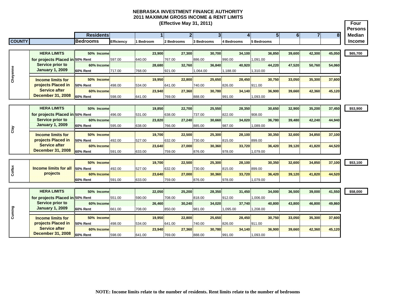|               |                                            |                        |                   |                |        | (Effective May 31, 2011) |                |        |            |        |                    |                |                |        | Four                            |
|---------------|--------------------------------------------|------------------------|-------------------|----------------|--------|--------------------------|----------------|--------|------------|--------|--------------------|----------------|----------------|--------|---------------------------------|
|               |                                            | <b>Residents</b>       |                   |                |        |                          | 2 <sup>1</sup> | 3      |            | 4      | 5 <sup>1</sup>     | 6 <sup>1</sup> | $\overline{7}$ | 8      | <b>Persons</b><br><b>Median</b> |
| <b>COUNTY</b> |                                            | <b>Bedrooms</b>        | <b>Efficiency</b> | <b>Bedroom</b> |        | 2 Bedrooms               | 3 Bedrooms     |        | 4 Bedrooms |        | 5 Bedrooms         |                |                |        | <b>Income</b>                   |
|               |                                            |                        |                   |                |        |                          |                |        |            |        |                    |                |                |        |                                 |
|               | <b>HERA LIMITS</b>                         | 50% Income             |                   |                | 23,900 | 27,300                   |                | 30,700 |            | 34,100 | 36,850             | 39,600         | 42,300         | 45,050 | \$65,700                        |
|               | for projects Placed in 50% Rent            |                        | 597.00            | 640.00         |        | 767.00                   | 886.00         |        | 990.00     |        | 1,091.00           |                |                |        |                                 |
|               | <b>Service prior to</b>                    | 60% Income             |                   |                | 28.680 |                          | 32,760         | 36,840 |            | 40,920 | 44,220             | 47,520         | 50,760         | 54,060 |                                 |
|               | <b>January 1, 2009</b>                     | <b>60% Rent</b>        | 717.00            | 768.00         |        | 921.00                   | 1,064.00       |        | 1,188.00   |        | 1,310.00           |                |                |        |                                 |
| Cheyenne      | <b>Income limits for</b>                   | 50% Income             |                   |                | 19,950 | 22,800                   |                | 25,650 |            | 28,450 | 30,750             | 33,050         | 35,300         | 37,600 |                                 |
|               | projects Placed in                         | 50% Rent               | 498.00            | 534.00         |        | 641.00                   | 740.00         |        | 826.00     |        | 911.00             |                |                |        |                                 |
|               | <b>Service after</b>                       | 60% Income             |                   |                | 23.940 | 27,360                   |                | 30.780 |            | 34.140 | 36,900             | 39.660         | 42,360         | 45,120 |                                 |
|               | <b>December 31, 2008</b>                   | <b>60% Rent</b>        | 598.00            | 641.00         |        | 769.00                   | 888.00         |        | 991.00     |        | 1,093.00           |                |                |        |                                 |
|               |                                            |                        |                   |                |        |                          |                |        |            |        |                    |                |                |        |                                 |
|               | <b>HERA LIMITS</b>                         | 50% Income             |                   |                | 19,850 | 22,700                   |                | 25,550 |            | 28,350 | 30,650             | 32,900         | 35,200         | 37,450 | \$53,900                        |
|               | for projects Placed in 50% Rent            |                        | 496.00            | 531.00         |        | 638.00                   | 737.00         |        | 822.00     |        | 908.00             |                |                |        |                                 |
|               | <b>Service prior to</b>                    | 60% Income             |                   |                | 23.820 | 27.240                   |                | 30.660 |            | 34.020 | 36.780             | 39,480         | 42,240         | 44,940 |                                 |
|               | <b>January 1, 2009</b>                     | 60% Rent               | 595.00            | 638.00         |        | 766.00                   | 885.00         |        | 987.00     |        | 1,089.00           |                |                |        |                                 |
| Clay          |                                            |                        |                   |                |        |                          |                |        |            |        |                    |                |                |        |                                 |
|               | <b>Income limits for</b>                   | 50% Income             |                   |                | 19,700 | 22,500                   |                | 25,300 |            | 28,100 | 30,350             | 32,600         | 34,850         | 37,100 |                                 |
|               | projects Placed in<br><b>Service after</b> | 50% Rent               | 492.00            | 527.00         |        | 632.00                   | 730.00         |        | 815.00     | 33,720 | 899.00             |                |                |        |                                 |
|               | <b>December 31, 2008</b>                   | 60% Income<br>60% Rent | 591.00            | 633.00         | 23,640 | 27,000<br>759.00         | 876.00         | 30,360 | 978.00     |        | 36,420<br>1,079.00 | 39,120         | 41,820         | 44,520 |                                 |
|               |                                            |                        |                   |                |        |                          |                |        |            |        |                    |                |                |        |                                 |
|               |                                            | 50% Income             |                   |                | 19,700 |                          | 22,500         | 25,300 |            | 28,100 | 30,350             | 32,600         | 34,850         | 37,100 | \$53,100                        |
|               | <b>Income limits for all</b>               | 50% Rent               | 492.00            | 527.00         |        | 632.00                   | 730.00         |        | 815.00     |        | 899.00             |                |                |        |                                 |
| Colfax        | projects                                   | 60% Income             |                   |                | 23,640 | 27,000                   |                | 30,360 |            | 33,720 | 36,420             | 39,120         | 41,820         | 44,520 |                                 |
|               |                                            | <b>60% Rent</b>        | 591.00            | 633.00         |        | 759.00                   | 876.00         |        | 978.00     |        | 079.00             |                |                |        |                                 |
|               |                                            |                        |                   |                |        |                          |                |        |            |        |                    |                |                |        |                                 |
|               | <b>HERA LIMITS</b>                         | 50% Income             |                   |                | 22.050 | 25.200                   |                | 28.350 |            | 31.450 | 34.000             | 36,500         | 39.000         | 41,550 | \$58,000                        |
|               | for projects Placed in 50% Rent            |                        | 551.00            | 590.00         |        | 708.00                   | 818.00         |        | 912.00     |        | 00.000,1           |                |                |        |                                 |
|               | <b>Service prior to</b>                    | 60% Income             |                   |                | 26.460 | 30,240                   |                | 34.020 |            | 37.740 | 40.800             | 43,800         | 46.800         | 49,860 |                                 |
|               | <b>January 1, 2009</b>                     | <b>60% Rent</b>        | 661.00            | 708.00         |        | 850.00                   | 981.00         |        | 1,095.00   |        | 1,208.00           |                |                |        |                                 |
| Cuming        | <b>Income limits for</b>                   | 50% Income             |                   |                | 19,950 | 22,800                   |                | 25,650 |            | 28,450 | 30,750             | 33,050         | 35,300         | 37,600 |                                 |
|               | projects Placed in                         | 50% Rent               | 498.00            | 534.00         |        | 641.00                   | 740.00         |        | 826.00     |        | 911.00             |                |                |        |                                 |
|               | <b>Service after</b>                       | 60% Income             |                   |                | 23,940 | 27,360                   |                | 30,780 |            | 34,140 | 36,900             | 39,660         | 42,360         | 45,120 |                                 |
|               |                                            |                        |                   |                |        |                          |                |        |            |        |                    |                |                |        |                                 |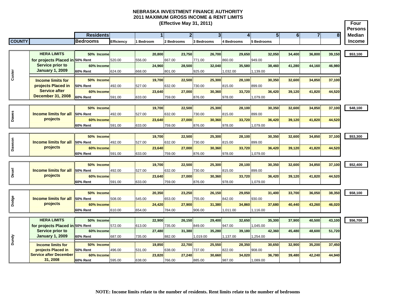**Four Persons Residents 1 2 3 4 5 6 78 Median COUNTY Bedrooms Efficiency 1 Bedroom 2 Bedrooms 3 Bedrooms 4 Bedrooms 5 Bedrooms Income (Effective May 31, 2011) HERA LIMITS 50% Income 20,800 23,750 26,700 29,650 32,050 34,400 36,800 39,150 \$53,100 for projects Placed in 50% Rent**  520.00 556.00 667.00 771.00 860.00 949.00**60% Income 24,960 28,500 32,040 35,580 38,460 41,280 44,160 46,980 60% Rent** 624.00 668.00 801.00 925.00 1,032.00 1,139.00 **50% Income 19,700 22,500 25,300 28,100 30,350 32,600 34,850 37,100 50% Rent** 492.00 527.00 632.00 730.00 815.00 899.00**60% Income 23,640 27,000 30,360 33,720 36,420 39,120 41,820 44,520 60% Rent** 591.00 633.00 759.00 876.00 978.00 1,079.00 **50% Income 19,700 22,500 25,300 28,100 30,350 32,600 34,850 37,100 \$48,100 50% Rent** 492.00 527.00 632.00 730.00 815.00 899.00**60% Income 23,640 27,000 30,360 33,720 36,420 39,120 41,820 44,520 60% Rent** 591.00 633.00 759.00 876.00 978.00 1,079.00 **50% Income 19,700 22,500 25,300 28,100 30,350 32,600 34,850 37,100 \$53,300 50% Rent** 492.00 527.00 632.00 730.00 815.00 899.00**60% Income 23,640 27,000 30,360 33,720 36,420 39,120 41,820 44,520 60% Rent** 591.00 633.00 759.00 876.00 978.00 1,079.00 **50% Income 19,700 22,500 25,300 28,100 30,350 32,600 34,850 37,100 \$52,400 50% Rent** 492.00 527.00 632.00 730.00 815.00 899.00899.00 **60% Income 23,640 27,000 30,360 33,720 36,420 39,120 41,820 44,520 60% Rent** 591.00 633.00 759.00 876.00 978.00 1,079.00 **50% Income 20,350 23,250 26,150 29,050 31,400 33,700 36,050 38,350 \$58,100 50% Rent** 508.00 545.00 653.00 755.00 842.00 930.00**60% Income 24,420 27,900 31,380 34,860 37,680 40,440 43,260 46,020 60% Rent** 610.00 654.00 784.00 906.00 1,011.00 1,116.00 **HERA LIMITS 50% Income 22,900 26,150 29,400 32,650 35,300 37,900 40,500 43,100 \$56,700 for projects Placed in 50% Rent**  572.00 613.00 735.00 849.00 947.00 1,045.00 **60% Income 27,480 31,380 35,280 39,180 42,360 45,480 48,600 51,720 60% Rent** 687.00 735.00 882.00 1,019.00 1,137.00 1,254.00 **50% Income 19,850 22,700 25,550 28,350 30,650 32,900 35,200 37,450 50% Rent** 496.00 531.00 638.00 737.00 822.00 908.00908.00 **60% Income 23,820 27,240 30,660 34,020 36,780 39,480 42,240 44,940 60% Rent** 595.00 638.00 766.00 885.00 987.00 1,089.00 **Service prior to January 1, 2009 Dundy Service prior to January 1, 2009 Income limits for projects Placed in Service after December 31, 2008 Income limits for projects Placed in Service after December 31, 2008 Income limits for all projects Domain Service after**<br> **Docember 31, 2008**<br> **Docember 31, 2008**<br> **Custain Concernsity Service after**<br> **Custain Projects**<br> **Custain Projects**<br> **Custain Projects**<br> **Custain Projects**<br> **Custain Projects**<br> **Custain Projects Dawson Dawes Performance Income limits for all projects**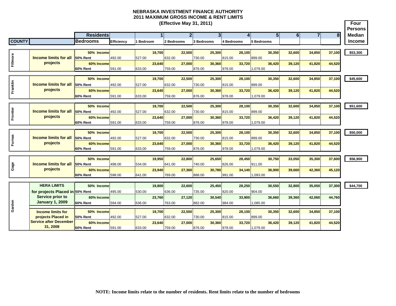**(Effective May 31, 2011) Four PersonsResidents 1 2 3 4 5 6 78 Median COUNTY Bedrooms Efficiency 1 Bedroom 2 Bedrooms 3 Bedrooms 4 Bedrooms 5 Bedrooms Income 50% Income 19,700 22,500 25,300 28,100 30,350 32,600 34,850 37,100 \$53,300 Fillmore Income limits for all**<br> **Fig. 2 Fillmone projects 50% Rent** 492.00 527.00 632.00 730.00 815.00 899.00**60% Income 23,640 27,000 30,360 33,720 36,420 39,120 41,820 44,520 60% Rent** 591.00 633.00 759.00 876.00 978.00 1,079.00 **50% Income 19,700 22,500 25,300 28,100 30,350 32,600 34,850 37,100 \$45,600 Franklin**<br>The strip of the projects<br>The projects **50% Rent**899.00 492.00 527.00 632.00 730.00 815.00 899.00**60% Income 23,640 27,000 30,360 33,720 36,420 39,120 41,820 44,520 60% Rent** 591.00 633.00 759.00 876.00 978.00 1,079.00 **50% Income 19,700 22,500 25,300 28,100 30,350 32,600 34,850 37,100 \$51,600** ैं स्टेट **Income limits for all**<br>सर्टे Projects 399.00 **50% Rent** 492.00 527.00 632.00 730.00 815.00 899.00**60% Income 23,640 27,000 30,360 33,720 36,420 39,120 41,820 44,520 60% Rent** 591.00 633.00 759.00 876.00 978.00 1,079.00 **50% Income 19,700 22,500 25,300 28,100 30,350 32,600 34,850 37,100 \$50,000 Furnas Gage Furnas 50% Rent**899.00 **Income limits for all**  492.00 527.00 632.00 730.00 815.00 899.00**projects 60% Income 23,640 27,000 30,360 33,720 36,420 39,120 41,820 44,520 60% Rent** 591.00 633.00 759.00 876.00 978.00 1,079.00 **50% Income 19,950 22,800 25,650 28,450 30,750 33,050 35,300 37,600 \$56,900** Gage **Income limits for all** 911.00 **50% Rent** 498.00 534.00 641.00 740.00 826.00 911.00**projects 60% Income 23,940 27,360 30,780 34,140 36,900 39,660 42,360 45,120 60% Rent** 598.00 641.00 769.00 888.00 991.00 1,093.00 **HERA LIMITS 50% Income 19,800 22,600 25,450 28,250 30,550 32,800 35,050 37,300 \$44,700 for projects Placed in 50% Rent**  495.00 530.00 636.00 735.00 820.00 904.00**Service prior to 60% Income 23,760 27,120 30,540 33,900 36,660 39,360 42,060 44,760 Garden January 1, 2009 60% Rent** 594.00 636.00 763.00 882.00 984.00 1,085.00 **Income limits for 50% Income 19,700 22,500 25,300 28,100 30,350 32,600 34,850 37,100 projects Placed in 50% Rent** 492.00 527.00 632.00 730.00 815.00 899.00**Service after December 60% Income 23,640 27,000 30,360 33,720 36,420 39,120 41,820 44,520 31, 2008 60% Rent**591.00 633.00 759.00 876.00 978.00 1,079.00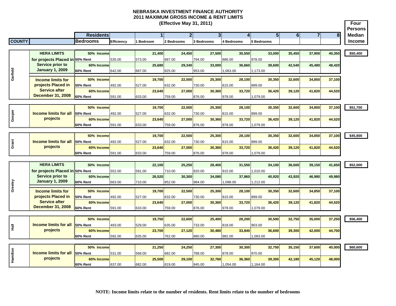|               |                                          |                               |            |                  | (Effective May 31, 2011) |                                           |                  |                  |                                       |                | <b>Four</b><br><b>Persons</b> |
|---------------|------------------------------------------|-------------------------------|------------|------------------|--------------------------|-------------------------------------------|------------------|------------------|---------------------------------------|----------------|-------------------------------|
|               |                                          | <b>Residents</b>              |            | 1                |                          | $\overline{2}$<br>$\overline{\mathbf{3}}$ | $\overline{4}$   | 5 <sup>1</sup>   | $\overline{\bf{6}}$<br>$\overline{7}$ | 8 <sup>1</sup> | Median                        |
| <b>COUNTY</b> |                                          | <b>Bedrooms</b>               | Efficiency | l Bedroom        | 2 Bedrooms               | <b>3 Bedrooms</b>                         | 4 Bedrooms       | 5 Bedrooms       |                                       |                | <b>Income</b>                 |
|               |                                          |                               |            |                  |                          |                                           |                  |                  |                                       |                |                               |
|               | <b>HERA LIMITS</b>                       | 50% Income                    |            | 21.400           | 24,450                   | 27,500                                    | 30,550           | 33,000           | 35,450<br>37,900                      | 40,350         | \$50,400                      |
|               | for projects Placed in 50% Rent          |                               | 535.00     | 573.00           | 687.00                   | 794.00                                    | 886.00           | 978.00           |                                       |                |                               |
|               | <b>Service prior to</b>                  | 60% Income                    |            | 25,680           | 29,340                   | 33,000                                    | 36,660           | 39,600           | 42,540<br>45,480                      | 48,420         |                               |
|               | <b>January 1, 2009</b>                   | <b>60% Rent</b>               | 642.00     | 687.00           | 825.00                   | 953.00                                    | ,063.00          | 1,173.00         |                                       |                |                               |
| Garfield      | <b>Income limits for</b>                 | 50% Income                    |            | 19,700           | 22,500                   | 25,300                                    | 28,100           | 30,350           | 32,600<br>34,850                      | 37,100         |                               |
|               | projects Placed in                       | <b>50% Rent</b>               | 492.00     | 527.00           | 632.00                   | 730.00                                    | 815.00           | 899.00           |                                       |                |                               |
|               | <b>Service after</b>                     | 60% Income                    |            | 23,640           | 27,000                   | 30,360                                    | 33,720           | 36,420           | 39,120<br>41,820                      | 44,520         |                               |
|               | <b>December 31, 2008</b>                 | <b>60% Rent</b>               | 591.00     | 633.00           | 759.00                   | 876.00                                    | 978.00           | 1,079.00         |                                       |                |                               |
|               |                                          |                               |            |                  |                          |                                           |                  |                  |                                       |                |                               |
|               |                                          | 50% Income                    |            | 19,700           | 22,500                   | 25,300                                    | 28,100           | 30,350           | 32,600<br>34,850                      | 37,100         | \$51,700                      |
| Gosper        | <b>Income limits for all</b>             | <b>50% Rent</b>               | 492.00     | 527.00           | 632.00                   | 730.00                                    | 815.00           | 899.00           |                                       |                |                               |
|               | projects                                 | 60% Income                    |            | 23,640           | 27,000                   | 30,360                                    | 33,720           | 36,420           | 39,120<br>41,820                      | 44,520         |                               |
|               |                                          | 60% Rent                      | 591.00     | 633.00           | 759.00                   | 876.00                                    | 978.00           | 079.00           |                                       |                |                               |
|               |                                          | 50% Income                    |            | 19.700           | 22,500                   | 25,300                                    | 28,100           | 30,350           | 32,600<br>34,850                      | 37,100         | \$45,800                      |
|               | <b>Income limits for all</b>             | 50% Rent                      | 492.00     | 527.00           | 632.00                   | 730.00                                    | 815.00           | 899.00           |                                       |                |                               |
| Grant         | projects                                 | 60% Income                    |            | 23,640           | 27,000                   | 30,360                                    | 33,720           | 36,420           | 39,120<br>41,820                      | 44,520         |                               |
|               |                                          | 60% Rent                      | 591.00     | 633.00           | 759.00                   | 876.00                                    | 978.00           | 079.00           |                                       |                |                               |
|               |                                          |                               |            |                  |                          |                                           |                  |                  |                                       |                |                               |
|               | <b>HERA LIMITS</b>                       | 50% Income                    |            | 22,100           | 25,250                   | 28,400                                    | 31,550           | 34,100           | 39,150<br>36,600                      | 41,650         | \$52,000                      |
|               | for projects Placed in 50% Rent          |                               | 552.00     | 591.00           | 710.00                   | 820.00                                    | 915.00           | ,010.00          |                                       |                |                               |
|               | <b>Service prior to</b>                  | 60% Income                    |            | 26.520           | 30,300                   | 34.080                                    | 37.860           | 40.920           | 43.920<br>46,980                      | 49.980         |                               |
| Greeley       | <b>January 1, 2009</b>                   | <b>60% Rent</b>               | 663.00     | 710.00           | 852.00                   | 984.00                                    | 098.00           | 1,212.00         |                                       |                |                               |
|               | <b>Income limits for</b>                 | 50% Income                    |            | 19.700           | 22,500                   | 25,300                                    | 28,100           | 30,350           | 32,600<br>34,850                      | 37,100         |                               |
|               | projects Placed in                       | <b>50% Rent</b>               | 492.00     | 527.00           | 632.00                   | 730.00                                    | 815.00           | 899.00           |                                       |                |                               |
|               | <b>Service after</b>                     | 60% Income                    |            | 23.640           | 27,000                   | 30.360                                    | 33,720           | 36,420           | 41,820<br>39,120                      | 44,520         |                               |
|               | <b>December 31, 2008</b>                 | <b>60% Rent</b>               | 591.00     | 633.00           | 759.00                   | 876.00                                    | 978.00           | ,079.00          |                                       |                |                               |
|               |                                          |                               |            |                  |                          |                                           |                  |                  |                                       |                |                               |
|               |                                          | 50% Income                    |            | 19,750           | 22,600                   | 25,400                                    | 28,200           | 30,500           | 32,750<br>35,000                      | 37,250         | \$56,400                      |
| 릁             | <b>Income limits for all</b><br>projects | 50% Rent                      | 493.00     | 529.00           | 635.00                   | 733.00                                    | 818.00           | 903.00           |                                       |                |                               |
|               |                                          | 60% Income<br><b>60% Rent</b> | 592.00     | 23.700<br>635.00 | 27,120<br>762.00         | 30,480<br>880.00                          | 33,840<br>982.00 | 36,600<br>083.00 | 39,300<br>42,000                      | 44,700         |                               |
|               |                                          |                               |            |                  |                          |                                           |                  |                  |                                       |                |                               |
|               |                                          | 50% Income                    |            | 21,250           | 24,250                   | 27,300                                    | 30,300           | 32,750           | 35,150<br>37,600                      | 40,000         | \$60,600                      |
|               | <b>Income limits for all</b>             | 50% Rent                      | 531.00     | 568.00           | 682.00                   | 788.00                                    | 878.00           | 970.00           |                                       |                |                               |
| Hamilton      | projects                                 | 60% Income                    |            | 25,500           | 29,100                   | 32,760                                    | 36,360           | 39,300           | 42,180<br>45,120                      | 48,000         |                               |
|               |                                          | 60% Rent                      | 637.00     | 682.00           | 819.00                   | 945.00                                    | ,054.00          | 1,164.00         |                                       |                |                               |
|               |                                          |                               |            |                  |                          |                                           |                  |                  |                                       |                |                               |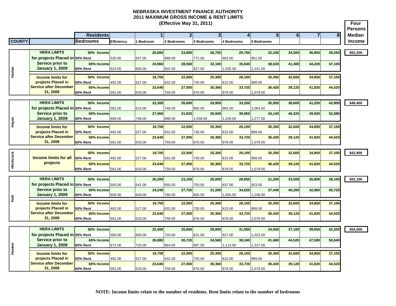|                  |                                                |                               |            |                  |        | (Effective May 31, 2011) |            |        |            |        |                    |        |                |        | <b>Four</b><br><b>Persons</b> |
|------------------|------------------------------------------------|-------------------------------|------------|------------------|--------|--------------------------|------------|--------|------------|--------|--------------------|--------|----------------|--------|-------------------------------|
|                  |                                                | <b>Residents</b>              |            |                  |        | $\overline{2}$           |            | 3      |            | Δ      | 5 <sub>1</sub>     | 6      | $\overline{7}$ | 8      | <b>Median</b>                 |
| <b>COUNTY</b>    |                                                | <b>Bedrooms</b>               | Efficiency | <b>I</b> Bedroom |        | 2 Bedrooms               | 3 Bedrooms |        | 4 Bedrooms |        | 5 Bedrooms         |        |                |        | <b>Income</b>                 |
|                  |                                                |                               |            |                  |        |                          |            |        |            |        |                    |        |                |        |                               |
|                  | <b>HERA LIMITS</b>                             | 50% Income                    |            | 20,800           |        | 23,800                   |            | 26,750 |            | 29,700 | 32,100             | 34,500 | 36,850         | 39,250 | \$52,200                      |
|                  | for projects Placed in 50% Rent                |                               | 520.00     | 557.00           |        | 668.00                   | 772.00     |        | 862.00     |        | 951.00             |        |                |        |                               |
|                  | <b>Service prior to</b>                        | 60% Income                    |            | 24,960           |        | 28,560                   |            | 32,100 |            | 35,640 | 38,520             | 41,400 | 44,220         | 47,100 |                               |
| Harlan           | <b>January 1, 2009</b>                         | 60% Rent                      | 624.00     | 669.00           |        | 802.00                   | 927.00     |        | 1,035.00   |        | 1,141.00           |        |                |        |                               |
|                  | <b>Income limits for</b>                       | 50% Income                    |            |                  | 19,700 | 22,500                   |            | 25,300 |            | 28,100 | 30,350             | 32,600 | 34,850         | 37,100 |                               |
|                  | projects Placed in                             | <b>50% Rent</b>               | 492.00     | 527.00           |        | 632.00                   | 730.00     |        | 815.00     |        | 399.00             |        |                |        |                               |
|                  | <b>Service after December</b>                  | 60% Income                    |            | 23,640           |        | 27,000                   |            | 30,360 |            | 33,720 | 36,420             | 39,120 | 41,820         | 44,520 |                               |
|                  | 31, 2008                                       | <b>60% Rent</b>               | 591.00     | 633.00           |        | 759.00                   | 876.00     |        | 978.00     |        | 1,079.00           |        |                |        |                               |
|                  | <b>HERA LIMITS</b>                             |                               |            |                  |        |                          |            |        |            |        |                    |        |                |        |                               |
|                  | for projects Placed in 50% Rent                | 50% Income                    | 582.00     | 623.00           | 23,300 | 26,600<br>748.00         | 865.00     | 29,950 | 965.00     | 33,250 | 35,950<br>,064.00  | 38,600 | 41,250         | 43,900 | \$49,400                      |
|                  | <b>Service prior to</b>                        | 60% Income                    |            | 27,960           |        | 31.920                   |            | 35.940 |            | 39,900 | 43.140             | 46,320 | 49,500         | 52,680 |                               |
|                  | <b>January 1, 2009</b>                         | <b>60% Rent</b>               | 699.00     | 748.00           |        | 898.00                   | 1,038.00   |        | 1,158.00   |        | ,277.00            |        |                |        |                               |
| Hayes            |                                                | 50% Income                    |            |                  | 19.700 | 22.500                   |            | 25.300 |            | 28.100 | 30.350             |        |                |        |                               |
|                  | <b>Income limits for</b><br>projects Placed in | 50% Rent                      | 492.00     | 527.00           |        | 632.00                   | 730.00     |        | 815.00     |        | 399.00             | 32,600 | 34,850         | 37,100 |                               |
|                  | <b>Service after December</b>                  | 60% Income                    |            | 23,640           |        | 27,000                   |            | 30.360 |            | 33,720 | 36,420             | 39,120 | 41,820         | 44,520 |                               |
|                  | 31, 2008                                       | 60% Rent                      | 591.00     | 633.00           |        | 759.00                   | 876.00     |        | 978.00     |        | 1,079.00           |        |                |        |                               |
|                  |                                                |                               |            |                  |        |                          |            |        |            |        |                    |        |                |        |                               |
|                  |                                                | 50% Income                    |            | 19,700           |        | 22,500                   |            | 25,300 |            | 28,100 | 30,350             | 32,600 | 34,850         | 37,100 | \$42,900                      |
|                  | <b>Income limits for all</b>                   | 50% Rent                      | 492.00     | 527.00           |        | 632.00                   | 730.00     |        | 815.00     |        | 899.00             |        |                |        |                               |
| <b>Hitchcock</b> | projects                                       | 60% Income<br><b>60% Rent</b> | 591.00     | 23,640<br>633.00 |        | 27,000<br>759.00         | 876.00     | 30,360 | 978.00     | 33,720 | 36,420<br>1,079.00 | 39,120 | 41,820         | 44,520 |                               |
|                  |                                                |                               |            |                  |        |                          |            |        |            |        |                    |        |                |        |                               |
|                  | <b>HERA LIMITS</b>                             | 50% Income                    |            | 20,200           |        | 23,100                   |            | 26,000 |            | 28,850 | 31,200             | 33,500 | 35,800         | 38,100 | \$52,100                      |
|                  | for projects Placed in 50% Rent                |                               | 505.00     | 541.00           |        | 650.00                   | 750.00     |        | 837.00     |        | 923.00             |        |                |        |                               |
|                  | <b>Service prior to</b>                        | 60% Income                    |            | 24.240           |        | 27,720                   |            | 31.200 |            | 34,620 | 37,440             | 40,200 | 42,960         | 45,720 |                               |
| $\frac{1}{2}$    | <b>January 1, 2009</b>                         | <b>60% Rent</b>               | 606.00     | 649.00           |        | 780.00                   | 900.00     |        | 1,005.00   |        | 1,108.00           |        |                |        |                               |
|                  | <b>Income limits for</b>                       | 50% Income                    |            |                  | 19,700 | 22,500                   |            | 25,300 |            | 28.100 | 30,350             | 32,600 | 34,850         | 37,100 |                               |
|                  | projects Placed in                             | 50% Rent                      | 492.00     | 527.00           |        | 632.00                   | 730.00     |        | 815.00     |        | 899.00             |        |                |        |                               |
|                  | <b>Service after December</b>                  | 60% Income                    |            | 23,640           |        | 27,000                   |            | 30,360 |            | 33,720 | 36,420             | 39,120 | 41,820         | 44,520 |                               |
|                  | 31.2008                                        | <b>60% Rent</b>               | 591.00     | 633.00           |        | 759.00                   | 876.00     |        | 978.00     |        | 1,079.00           |        |                |        |                               |
|                  | <b>HERA LIMITS</b>                             |                               |            |                  |        |                          |            |        |            |        | 34.550             |        |                |        |                               |
|                  | for projects Placed in 50% Rent                | 50% Income                    | 560.00     | 600.00           | 22,400 | 25,600<br>720.00         | 831.00     | 28,800 | 927.00     | 31,950 |                    | 37,100 | 39,650         | 42,200 | \$54,500                      |
|                  | <b>Service prior to</b>                        | 60% Income                    |            | 26,880           |        | 30,720                   |            | 34,560 |            | 38,340 | ,023.00<br>41,460  | 44,520 | 47,580         | 50,640 |                               |
|                  | <b>January 1, 2009</b>                         | <b>60% Rent</b>               | 672.00     | 720.00           |        | 864.00                   | 997.00     |        | 1,113.00   |        | 1,227.00           |        |                |        |                               |
| Hooker           |                                                |                               |            |                  |        |                          |            |        |            |        |                    |        |                |        |                               |
|                  | <b>Income limits for</b><br>projects Placed in | 50% Income<br><b>50% Rent</b> | 492.00     | 527.00           | 19,700 | 22,500<br>632.00         | 730.00     | 25,300 | 815.00     | 28,100 | 30,350<br>899.00   | 32,600 | 34,850         | 37,100 |                               |
|                  | <b>Service after December</b>                  | 60% Income                    |            | 23,640           |        | 27,000                   |            | 30,360 |            | 33,720 | 36,420             | 39,120 | 41,820         | 44,520 |                               |
|                  | 31, 2008                                       | <b>60% Rent</b>               | 591.00     | 633.00           |        | 759.00                   | 876.00     |        | 978.00     |        | ,079.00            |        |                |        |                               |
|                  |                                                |                               |            |                  |        |                          |            |        |            |        |                    |        |                |        |                               |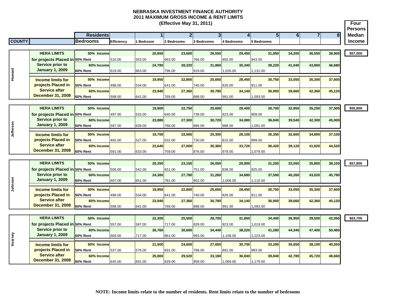| <b>Persons</b><br>5 <sup>1</sup><br><b>Residents</b><br>3 <sup>l</sup><br>6<br>$\overline{7}$<br>$\overline{2}$<br>8 <sup>l</sup><br><b>Median</b><br>4<br><b>COUNTY</b><br><b>Bedrooms</b><br><b>Income</b><br>Efficiency<br><b>Bedroom</b><br>2 Bedrooms<br>3 Bedrooms<br>4 Bedrooms<br>5 Bedrooms<br><b>HERA LIMITS</b><br>26,550<br>29,450<br>50% Income<br>20,650<br>23,600<br>31,850<br>34,200<br>36,550<br>38,900<br>\$57,000<br>for projects Placed in 50% Rent<br>855.00<br>516.00<br>553.00<br>663.00<br>766.00<br>943.00<br>Service prior to<br>31,860<br>35,340<br>60% Income<br>24,780<br>28,320<br>38,220<br>41,040<br>43,860<br>46,680<br>Howard<br><b>January 1, 2009</b><br>60% Rent<br>619.00<br>663.00<br>796.00<br>919.00<br>1,026.00<br>1,131.00<br>19,950<br>22,800<br>25,650<br>28,450<br>30,750<br>50% Income<br>33,050<br>35,300<br>37,600<br><b>Income limits for</b><br>projects Placed in<br><b>50% Rent</b><br>498.00<br>641.00<br>740.00<br>826.00<br>911.00<br>534.00<br><b>Service after</b><br>23,940<br>27,360<br>30,780<br>34,140<br>36,900<br>45,120<br>60% Income<br>39,660<br>42,360<br><b>December 31, 2008</b><br>60% Rent<br>598.00<br>641.00<br>769.00<br>888.00<br>991.00<br>1,093.00<br><b>HERA LIMITS</b><br>22,750<br>30,700<br>32,950<br>35,250<br>37,500<br>50% Income<br>19,900<br>25,600<br>28,400<br>\$55,800<br>for projects Placed in 50% Rent<br>497.00<br>533.00<br>640.00<br>738.00<br>823.00<br>909.00<br><b>Service prior to</b><br>23,880<br>27,300<br>30,720<br>34,080<br>39,540<br>60% Income<br>36,840<br>42,300<br>45,000<br>Jefferson<br><b>January 1, 2009</b><br>60% Rent<br>597.00<br>639.00<br>768.00<br>886.00<br>988.00<br>091.00<br>30.350<br>34,850<br>50% Income<br>19.700<br>22,500<br>25.300<br>28.100<br>32.600<br>37,100<br><b>Income limits for</b><br>projects Placed in<br>632.00<br>730.00<br>50% Rent<br>492.00<br>815.00<br>899.00<br>527.00<br><b>Service after</b><br>23.640<br>27,000<br>30.360<br>33.720<br>36.420<br>39,120<br>41,820<br>44,520<br>60% Income<br><b>December 31, 2008</b><br>60% Rent<br>591.00<br>633.00<br>759.00<br>876.00<br>978.00<br>1,079.00<br><b>HERA LIMITS</b><br>23,150<br>26,050<br>28,900<br>31,250<br>\$57,800<br>50% Income<br>20,250<br>33,550<br>35,850<br>38,150<br>for projects Placed in 50% Rent<br>506.00<br>542.00<br>651.00<br>751.00<br>838.00<br>925.00<br><b>Service prior to</b><br>24,300<br>27,780<br>31,260<br>34,680<br>37,500<br>40,260<br>43,020<br>60% Income<br>45,780<br>Johnson<br><b>January 1, 2009</b><br><b>60% Rent</b><br>607.00<br>902.00<br>651.00<br>781.00<br>1,006.00<br>1,110.00<br>22,800<br>25,650<br>28,450<br>30,750<br>50% Income<br>19,950<br>33,050<br>35,300<br>37,600<br><b>Income limits for</b><br>projects Placed in<br>498.00<br>826.00<br>911.00<br>50% Rent<br>534.00<br>641.00<br>740.00<br><b>Service after</b><br>27,360<br>30.780<br>60% Income<br>23.940<br>34,140<br>36,900<br>39,660<br>42,360<br>45,120<br><b>December 31, 2008</b><br><b>60% Rent</b><br>598.00<br>888.00<br>991.00<br>1,093.00<br>641.00<br>769.00<br><b>HERA LIMITS</b><br>25,500<br>50% Income<br>22,300<br>28,700<br>31.850<br>34,400<br>36,950<br>39,500<br>42,050<br>\$63,700<br>for projects Placed in 50% Rent<br>557.00<br>717.00<br>828.00<br>923.00<br>1,019.00<br>597.00<br>Service prior to<br>26,760<br>30,600<br>38,220<br>41,280<br>60% Income<br>34,440<br>44,340<br>47,400<br>50,460<br>Kearney<br><b>January 1, 2009</b><br><b>60% Rent</b><br>669.00<br>717.00<br>861.00<br>993.00<br>1,108.00<br>1,223.00<br>21,500<br>24,600<br>27,650<br>30,700<br>33,200<br>40,550<br><b>Income limits for</b><br>50% Income<br>35,650<br>38,100<br>projects Placed in<br>50% Rent<br>537.00<br>691.00<br>798.00<br>891.00<br>983.00<br>576.00<br><b>Service after</b><br>25,800<br>29,520<br>36,840<br>48,660<br>60% Income<br>33,180<br>39,840<br>42,780<br>45,720<br><b>December 31, 2008</b> |  |          |        |        | (Effective May 31, 2011) |        |          |          |  |  | Four |
|-------------------------------------------------------------------------------------------------------------------------------------------------------------------------------------------------------------------------------------------------------------------------------------------------------------------------------------------------------------------------------------------------------------------------------------------------------------------------------------------------------------------------------------------------------------------------------------------------------------------------------------------------------------------------------------------------------------------------------------------------------------------------------------------------------------------------------------------------------------------------------------------------------------------------------------------------------------------------------------------------------------------------------------------------------------------------------------------------------------------------------------------------------------------------------------------------------------------------------------------------------------------------------------------------------------------------------------------------------------------------------------------------------------------------------------------------------------------------------------------------------------------------------------------------------------------------------------------------------------------------------------------------------------------------------------------------------------------------------------------------------------------------------------------------------------------------------------------------------------------------------------------------------------------------------------------------------------------------------------------------------------------------------------------------------------------------------------------------------------------------------------------------------------------------------------------------------------------------------------------------------------------------------------------------------------------------------------------------------------------------------------------------------------------------------------------------------------------------------------------------------------------------------------------------------------------------------------------------------------------------------------------------------------------------------------------------------------------------------------------------------------------------------------------------------------------------------------------------------------------------------------------------------------------------------------------------------------------------------------------------------------------------------------------------------------------------------------------------------------------------------------------------------------------------------------------------------------------------------------------------------------------------------------------------------------------------------------------------------------------------------------------------------------------------------------------------------------------------------------------------------------------------------------------------------------------------------------------------------------------------------------------------------------------------------------------------------------------------------------------------------------------------------------------------------------------------------------------------------------------------------------------------------------------------------------------------------------|--|----------|--------|--------|--------------------------|--------|----------|----------|--|--|------|
|                                                                                                                                                                                                                                                                                                                                                                                                                                                                                                                                                                                                                                                                                                                                                                                                                                                                                                                                                                                                                                                                                                                                                                                                                                                                                                                                                                                                                                                                                                                                                                                                                                                                                                                                                                                                                                                                                                                                                                                                                                                                                                                                                                                                                                                                                                                                                                                                                                                                                                                                                                                                                                                                                                                                                                                                                                                                                                                                                                                                                                                                                                                                                                                                                                                                                                                                                                                                                                                                                                                                                                                                                                                                                                                                                                                                                                                                                                                                                             |  |          |        |        |                          |        |          |          |  |  |      |
|                                                                                                                                                                                                                                                                                                                                                                                                                                                                                                                                                                                                                                                                                                                                                                                                                                                                                                                                                                                                                                                                                                                                                                                                                                                                                                                                                                                                                                                                                                                                                                                                                                                                                                                                                                                                                                                                                                                                                                                                                                                                                                                                                                                                                                                                                                                                                                                                                                                                                                                                                                                                                                                                                                                                                                                                                                                                                                                                                                                                                                                                                                                                                                                                                                                                                                                                                                                                                                                                                                                                                                                                                                                                                                                                                                                                                                                                                                                                                             |  |          |        |        |                          |        |          |          |  |  |      |
|                                                                                                                                                                                                                                                                                                                                                                                                                                                                                                                                                                                                                                                                                                                                                                                                                                                                                                                                                                                                                                                                                                                                                                                                                                                                                                                                                                                                                                                                                                                                                                                                                                                                                                                                                                                                                                                                                                                                                                                                                                                                                                                                                                                                                                                                                                                                                                                                                                                                                                                                                                                                                                                                                                                                                                                                                                                                                                                                                                                                                                                                                                                                                                                                                                                                                                                                                                                                                                                                                                                                                                                                                                                                                                                                                                                                                                                                                                                                                             |  |          |        |        |                          |        |          |          |  |  |      |
|                                                                                                                                                                                                                                                                                                                                                                                                                                                                                                                                                                                                                                                                                                                                                                                                                                                                                                                                                                                                                                                                                                                                                                                                                                                                                                                                                                                                                                                                                                                                                                                                                                                                                                                                                                                                                                                                                                                                                                                                                                                                                                                                                                                                                                                                                                                                                                                                                                                                                                                                                                                                                                                                                                                                                                                                                                                                                                                                                                                                                                                                                                                                                                                                                                                                                                                                                                                                                                                                                                                                                                                                                                                                                                                                                                                                                                                                                                                                                             |  |          |        |        |                          |        |          |          |  |  |      |
|                                                                                                                                                                                                                                                                                                                                                                                                                                                                                                                                                                                                                                                                                                                                                                                                                                                                                                                                                                                                                                                                                                                                                                                                                                                                                                                                                                                                                                                                                                                                                                                                                                                                                                                                                                                                                                                                                                                                                                                                                                                                                                                                                                                                                                                                                                                                                                                                                                                                                                                                                                                                                                                                                                                                                                                                                                                                                                                                                                                                                                                                                                                                                                                                                                                                                                                                                                                                                                                                                                                                                                                                                                                                                                                                                                                                                                                                                                                                                             |  |          |        |        |                          |        |          |          |  |  |      |
|                                                                                                                                                                                                                                                                                                                                                                                                                                                                                                                                                                                                                                                                                                                                                                                                                                                                                                                                                                                                                                                                                                                                                                                                                                                                                                                                                                                                                                                                                                                                                                                                                                                                                                                                                                                                                                                                                                                                                                                                                                                                                                                                                                                                                                                                                                                                                                                                                                                                                                                                                                                                                                                                                                                                                                                                                                                                                                                                                                                                                                                                                                                                                                                                                                                                                                                                                                                                                                                                                                                                                                                                                                                                                                                                                                                                                                                                                                                                                             |  |          |        |        |                          |        |          |          |  |  |      |
|                                                                                                                                                                                                                                                                                                                                                                                                                                                                                                                                                                                                                                                                                                                                                                                                                                                                                                                                                                                                                                                                                                                                                                                                                                                                                                                                                                                                                                                                                                                                                                                                                                                                                                                                                                                                                                                                                                                                                                                                                                                                                                                                                                                                                                                                                                                                                                                                                                                                                                                                                                                                                                                                                                                                                                                                                                                                                                                                                                                                                                                                                                                                                                                                                                                                                                                                                                                                                                                                                                                                                                                                                                                                                                                                                                                                                                                                                                                                                             |  |          |        |        |                          |        |          |          |  |  |      |
|                                                                                                                                                                                                                                                                                                                                                                                                                                                                                                                                                                                                                                                                                                                                                                                                                                                                                                                                                                                                                                                                                                                                                                                                                                                                                                                                                                                                                                                                                                                                                                                                                                                                                                                                                                                                                                                                                                                                                                                                                                                                                                                                                                                                                                                                                                                                                                                                                                                                                                                                                                                                                                                                                                                                                                                                                                                                                                                                                                                                                                                                                                                                                                                                                                                                                                                                                                                                                                                                                                                                                                                                                                                                                                                                                                                                                                                                                                                                                             |  |          |        |        |                          |        |          |          |  |  |      |
|                                                                                                                                                                                                                                                                                                                                                                                                                                                                                                                                                                                                                                                                                                                                                                                                                                                                                                                                                                                                                                                                                                                                                                                                                                                                                                                                                                                                                                                                                                                                                                                                                                                                                                                                                                                                                                                                                                                                                                                                                                                                                                                                                                                                                                                                                                                                                                                                                                                                                                                                                                                                                                                                                                                                                                                                                                                                                                                                                                                                                                                                                                                                                                                                                                                                                                                                                                                                                                                                                                                                                                                                                                                                                                                                                                                                                                                                                                                                                             |  |          |        |        |                          |        |          |          |  |  |      |
|                                                                                                                                                                                                                                                                                                                                                                                                                                                                                                                                                                                                                                                                                                                                                                                                                                                                                                                                                                                                                                                                                                                                                                                                                                                                                                                                                                                                                                                                                                                                                                                                                                                                                                                                                                                                                                                                                                                                                                                                                                                                                                                                                                                                                                                                                                                                                                                                                                                                                                                                                                                                                                                                                                                                                                                                                                                                                                                                                                                                                                                                                                                                                                                                                                                                                                                                                                                                                                                                                                                                                                                                                                                                                                                                                                                                                                                                                                                                                             |  |          |        |        |                          |        |          |          |  |  |      |
|                                                                                                                                                                                                                                                                                                                                                                                                                                                                                                                                                                                                                                                                                                                                                                                                                                                                                                                                                                                                                                                                                                                                                                                                                                                                                                                                                                                                                                                                                                                                                                                                                                                                                                                                                                                                                                                                                                                                                                                                                                                                                                                                                                                                                                                                                                                                                                                                                                                                                                                                                                                                                                                                                                                                                                                                                                                                                                                                                                                                                                                                                                                                                                                                                                                                                                                                                                                                                                                                                                                                                                                                                                                                                                                                                                                                                                                                                                                                                             |  |          |        |        |                          |        |          |          |  |  |      |
|                                                                                                                                                                                                                                                                                                                                                                                                                                                                                                                                                                                                                                                                                                                                                                                                                                                                                                                                                                                                                                                                                                                                                                                                                                                                                                                                                                                                                                                                                                                                                                                                                                                                                                                                                                                                                                                                                                                                                                                                                                                                                                                                                                                                                                                                                                                                                                                                                                                                                                                                                                                                                                                                                                                                                                                                                                                                                                                                                                                                                                                                                                                                                                                                                                                                                                                                                                                                                                                                                                                                                                                                                                                                                                                                                                                                                                                                                                                                                             |  |          |        |        |                          |        |          |          |  |  |      |
|                                                                                                                                                                                                                                                                                                                                                                                                                                                                                                                                                                                                                                                                                                                                                                                                                                                                                                                                                                                                                                                                                                                                                                                                                                                                                                                                                                                                                                                                                                                                                                                                                                                                                                                                                                                                                                                                                                                                                                                                                                                                                                                                                                                                                                                                                                                                                                                                                                                                                                                                                                                                                                                                                                                                                                                                                                                                                                                                                                                                                                                                                                                                                                                                                                                                                                                                                                                                                                                                                                                                                                                                                                                                                                                                                                                                                                                                                                                                                             |  |          |        |        |                          |        |          |          |  |  |      |
|                                                                                                                                                                                                                                                                                                                                                                                                                                                                                                                                                                                                                                                                                                                                                                                                                                                                                                                                                                                                                                                                                                                                                                                                                                                                                                                                                                                                                                                                                                                                                                                                                                                                                                                                                                                                                                                                                                                                                                                                                                                                                                                                                                                                                                                                                                                                                                                                                                                                                                                                                                                                                                                                                                                                                                                                                                                                                                                                                                                                                                                                                                                                                                                                                                                                                                                                                                                                                                                                                                                                                                                                                                                                                                                                                                                                                                                                                                                                                             |  |          |        |        |                          |        |          |          |  |  |      |
|                                                                                                                                                                                                                                                                                                                                                                                                                                                                                                                                                                                                                                                                                                                                                                                                                                                                                                                                                                                                                                                                                                                                                                                                                                                                                                                                                                                                                                                                                                                                                                                                                                                                                                                                                                                                                                                                                                                                                                                                                                                                                                                                                                                                                                                                                                                                                                                                                                                                                                                                                                                                                                                                                                                                                                                                                                                                                                                                                                                                                                                                                                                                                                                                                                                                                                                                                                                                                                                                                                                                                                                                                                                                                                                                                                                                                                                                                                                                                             |  |          |        |        |                          |        |          |          |  |  |      |
|                                                                                                                                                                                                                                                                                                                                                                                                                                                                                                                                                                                                                                                                                                                                                                                                                                                                                                                                                                                                                                                                                                                                                                                                                                                                                                                                                                                                                                                                                                                                                                                                                                                                                                                                                                                                                                                                                                                                                                                                                                                                                                                                                                                                                                                                                                                                                                                                                                                                                                                                                                                                                                                                                                                                                                                                                                                                                                                                                                                                                                                                                                                                                                                                                                                                                                                                                                                                                                                                                                                                                                                                                                                                                                                                                                                                                                                                                                                                                             |  |          |        |        |                          |        |          |          |  |  |      |
|                                                                                                                                                                                                                                                                                                                                                                                                                                                                                                                                                                                                                                                                                                                                                                                                                                                                                                                                                                                                                                                                                                                                                                                                                                                                                                                                                                                                                                                                                                                                                                                                                                                                                                                                                                                                                                                                                                                                                                                                                                                                                                                                                                                                                                                                                                                                                                                                                                                                                                                                                                                                                                                                                                                                                                                                                                                                                                                                                                                                                                                                                                                                                                                                                                                                                                                                                                                                                                                                                                                                                                                                                                                                                                                                                                                                                                                                                                                                                             |  |          |        |        |                          |        |          |          |  |  |      |
|                                                                                                                                                                                                                                                                                                                                                                                                                                                                                                                                                                                                                                                                                                                                                                                                                                                                                                                                                                                                                                                                                                                                                                                                                                                                                                                                                                                                                                                                                                                                                                                                                                                                                                                                                                                                                                                                                                                                                                                                                                                                                                                                                                                                                                                                                                                                                                                                                                                                                                                                                                                                                                                                                                                                                                                                                                                                                                                                                                                                                                                                                                                                                                                                                                                                                                                                                                                                                                                                                                                                                                                                                                                                                                                                                                                                                                                                                                                                                             |  |          |        |        |                          |        |          |          |  |  |      |
|                                                                                                                                                                                                                                                                                                                                                                                                                                                                                                                                                                                                                                                                                                                                                                                                                                                                                                                                                                                                                                                                                                                                                                                                                                                                                                                                                                                                                                                                                                                                                                                                                                                                                                                                                                                                                                                                                                                                                                                                                                                                                                                                                                                                                                                                                                                                                                                                                                                                                                                                                                                                                                                                                                                                                                                                                                                                                                                                                                                                                                                                                                                                                                                                                                                                                                                                                                                                                                                                                                                                                                                                                                                                                                                                                                                                                                                                                                                                                             |  |          |        |        |                          |        |          |          |  |  |      |
|                                                                                                                                                                                                                                                                                                                                                                                                                                                                                                                                                                                                                                                                                                                                                                                                                                                                                                                                                                                                                                                                                                                                                                                                                                                                                                                                                                                                                                                                                                                                                                                                                                                                                                                                                                                                                                                                                                                                                                                                                                                                                                                                                                                                                                                                                                                                                                                                                                                                                                                                                                                                                                                                                                                                                                                                                                                                                                                                                                                                                                                                                                                                                                                                                                                                                                                                                                                                                                                                                                                                                                                                                                                                                                                                                                                                                                                                                                                                                             |  |          |        |        |                          |        |          |          |  |  |      |
|                                                                                                                                                                                                                                                                                                                                                                                                                                                                                                                                                                                                                                                                                                                                                                                                                                                                                                                                                                                                                                                                                                                                                                                                                                                                                                                                                                                                                                                                                                                                                                                                                                                                                                                                                                                                                                                                                                                                                                                                                                                                                                                                                                                                                                                                                                                                                                                                                                                                                                                                                                                                                                                                                                                                                                                                                                                                                                                                                                                                                                                                                                                                                                                                                                                                                                                                                                                                                                                                                                                                                                                                                                                                                                                                                                                                                                                                                                                                                             |  |          |        |        |                          |        |          |          |  |  |      |
|                                                                                                                                                                                                                                                                                                                                                                                                                                                                                                                                                                                                                                                                                                                                                                                                                                                                                                                                                                                                                                                                                                                                                                                                                                                                                                                                                                                                                                                                                                                                                                                                                                                                                                                                                                                                                                                                                                                                                                                                                                                                                                                                                                                                                                                                                                                                                                                                                                                                                                                                                                                                                                                                                                                                                                                                                                                                                                                                                                                                                                                                                                                                                                                                                                                                                                                                                                                                                                                                                                                                                                                                                                                                                                                                                                                                                                                                                                                                                             |  |          |        |        |                          |        |          |          |  |  |      |
|                                                                                                                                                                                                                                                                                                                                                                                                                                                                                                                                                                                                                                                                                                                                                                                                                                                                                                                                                                                                                                                                                                                                                                                                                                                                                                                                                                                                                                                                                                                                                                                                                                                                                                                                                                                                                                                                                                                                                                                                                                                                                                                                                                                                                                                                                                                                                                                                                                                                                                                                                                                                                                                                                                                                                                                                                                                                                                                                                                                                                                                                                                                                                                                                                                                                                                                                                                                                                                                                                                                                                                                                                                                                                                                                                                                                                                                                                                                                                             |  |          |        |        |                          |        |          |          |  |  |      |
|                                                                                                                                                                                                                                                                                                                                                                                                                                                                                                                                                                                                                                                                                                                                                                                                                                                                                                                                                                                                                                                                                                                                                                                                                                                                                                                                                                                                                                                                                                                                                                                                                                                                                                                                                                                                                                                                                                                                                                                                                                                                                                                                                                                                                                                                                                                                                                                                                                                                                                                                                                                                                                                                                                                                                                                                                                                                                                                                                                                                                                                                                                                                                                                                                                                                                                                                                                                                                                                                                                                                                                                                                                                                                                                                                                                                                                                                                                                                                             |  |          |        |        |                          |        |          |          |  |  |      |
|                                                                                                                                                                                                                                                                                                                                                                                                                                                                                                                                                                                                                                                                                                                                                                                                                                                                                                                                                                                                                                                                                                                                                                                                                                                                                                                                                                                                                                                                                                                                                                                                                                                                                                                                                                                                                                                                                                                                                                                                                                                                                                                                                                                                                                                                                                                                                                                                                                                                                                                                                                                                                                                                                                                                                                                                                                                                                                                                                                                                                                                                                                                                                                                                                                                                                                                                                                                                                                                                                                                                                                                                                                                                                                                                                                                                                                                                                                                                                             |  |          |        |        |                          |        |          |          |  |  |      |
|                                                                                                                                                                                                                                                                                                                                                                                                                                                                                                                                                                                                                                                                                                                                                                                                                                                                                                                                                                                                                                                                                                                                                                                                                                                                                                                                                                                                                                                                                                                                                                                                                                                                                                                                                                                                                                                                                                                                                                                                                                                                                                                                                                                                                                                                                                                                                                                                                                                                                                                                                                                                                                                                                                                                                                                                                                                                                                                                                                                                                                                                                                                                                                                                                                                                                                                                                                                                                                                                                                                                                                                                                                                                                                                                                                                                                                                                                                                                                             |  |          |        |        |                          |        |          |          |  |  |      |
|                                                                                                                                                                                                                                                                                                                                                                                                                                                                                                                                                                                                                                                                                                                                                                                                                                                                                                                                                                                                                                                                                                                                                                                                                                                                                                                                                                                                                                                                                                                                                                                                                                                                                                                                                                                                                                                                                                                                                                                                                                                                                                                                                                                                                                                                                                                                                                                                                                                                                                                                                                                                                                                                                                                                                                                                                                                                                                                                                                                                                                                                                                                                                                                                                                                                                                                                                                                                                                                                                                                                                                                                                                                                                                                                                                                                                                                                                                                                                             |  |          |        |        |                          |        |          |          |  |  |      |
|                                                                                                                                                                                                                                                                                                                                                                                                                                                                                                                                                                                                                                                                                                                                                                                                                                                                                                                                                                                                                                                                                                                                                                                                                                                                                                                                                                                                                                                                                                                                                                                                                                                                                                                                                                                                                                                                                                                                                                                                                                                                                                                                                                                                                                                                                                                                                                                                                                                                                                                                                                                                                                                                                                                                                                                                                                                                                                                                                                                                                                                                                                                                                                                                                                                                                                                                                                                                                                                                                                                                                                                                                                                                                                                                                                                                                                                                                                                                                             |  |          |        |        |                          |        |          |          |  |  |      |
|                                                                                                                                                                                                                                                                                                                                                                                                                                                                                                                                                                                                                                                                                                                                                                                                                                                                                                                                                                                                                                                                                                                                                                                                                                                                                                                                                                                                                                                                                                                                                                                                                                                                                                                                                                                                                                                                                                                                                                                                                                                                                                                                                                                                                                                                                                                                                                                                                                                                                                                                                                                                                                                                                                                                                                                                                                                                                                                                                                                                                                                                                                                                                                                                                                                                                                                                                                                                                                                                                                                                                                                                                                                                                                                                                                                                                                                                                                                                                             |  |          |        |        |                          |        |          |          |  |  |      |
|                                                                                                                                                                                                                                                                                                                                                                                                                                                                                                                                                                                                                                                                                                                                                                                                                                                                                                                                                                                                                                                                                                                                                                                                                                                                                                                                                                                                                                                                                                                                                                                                                                                                                                                                                                                                                                                                                                                                                                                                                                                                                                                                                                                                                                                                                                                                                                                                                                                                                                                                                                                                                                                                                                                                                                                                                                                                                                                                                                                                                                                                                                                                                                                                                                                                                                                                                                                                                                                                                                                                                                                                                                                                                                                                                                                                                                                                                                                                                             |  |          |        |        |                          |        |          |          |  |  |      |
|                                                                                                                                                                                                                                                                                                                                                                                                                                                                                                                                                                                                                                                                                                                                                                                                                                                                                                                                                                                                                                                                                                                                                                                                                                                                                                                                                                                                                                                                                                                                                                                                                                                                                                                                                                                                                                                                                                                                                                                                                                                                                                                                                                                                                                                                                                                                                                                                                                                                                                                                                                                                                                                                                                                                                                                                                                                                                                                                                                                                                                                                                                                                                                                                                                                                                                                                                                                                                                                                                                                                                                                                                                                                                                                                                                                                                                                                                                                                                             |  |          |        |        |                          |        |          |          |  |  |      |
|                                                                                                                                                                                                                                                                                                                                                                                                                                                                                                                                                                                                                                                                                                                                                                                                                                                                                                                                                                                                                                                                                                                                                                                                                                                                                                                                                                                                                                                                                                                                                                                                                                                                                                                                                                                                                                                                                                                                                                                                                                                                                                                                                                                                                                                                                                                                                                                                                                                                                                                                                                                                                                                                                                                                                                                                                                                                                                                                                                                                                                                                                                                                                                                                                                                                                                                                                                                                                                                                                                                                                                                                                                                                                                                                                                                                                                                                                                                                                             |  |          |        |        |                          |        |          |          |  |  |      |
|                                                                                                                                                                                                                                                                                                                                                                                                                                                                                                                                                                                                                                                                                                                                                                                                                                                                                                                                                                                                                                                                                                                                                                                                                                                                                                                                                                                                                                                                                                                                                                                                                                                                                                                                                                                                                                                                                                                                                                                                                                                                                                                                                                                                                                                                                                                                                                                                                                                                                                                                                                                                                                                                                                                                                                                                                                                                                                                                                                                                                                                                                                                                                                                                                                                                                                                                                                                                                                                                                                                                                                                                                                                                                                                                                                                                                                                                                                                                                             |  |          |        |        |                          |        |          |          |  |  |      |
|                                                                                                                                                                                                                                                                                                                                                                                                                                                                                                                                                                                                                                                                                                                                                                                                                                                                                                                                                                                                                                                                                                                                                                                                                                                                                                                                                                                                                                                                                                                                                                                                                                                                                                                                                                                                                                                                                                                                                                                                                                                                                                                                                                                                                                                                                                                                                                                                                                                                                                                                                                                                                                                                                                                                                                                                                                                                                                                                                                                                                                                                                                                                                                                                                                                                                                                                                                                                                                                                                                                                                                                                                                                                                                                                                                                                                                                                                                                                                             |  |          |        |        |                          |        |          |          |  |  |      |
|                                                                                                                                                                                                                                                                                                                                                                                                                                                                                                                                                                                                                                                                                                                                                                                                                                                                                                                                                                                                                                                                                                                                                                                                                                                                                                                                                                                                                                                                                                                                                                                                                                                                                                                                                                                                                                                                                                                                                                                                                                                                                                                                                                                                                                                                                                                                                                                                                                                                                                                                                                                                                                                                                                                                                                                                                                                                                                                                                                                                                                                                                                                                                                                                                                                                                                                                                                                                                                                                                                                                                                                                                                                                                                                                                                                                                                                                                                                                                             |  |          |        |        |                          |        |          |          |  |  |      |
|                                                                                                                                                                                                                                                                                                                                                                                                                                                                                                                                                                                                                                                                                                                                                                                                                                                                                                                                                                                                                                                                                                                                                                                                                                                                                                                                                                                                                                                                                                                                                                                                                                                                                                                                                                                                                                                                                                                                                                                                                                                                                                                                                                                                                                                                                                                                                                                                                                                                                                                                                                                                                                                                                                                                                                                                                                                                                                                                                                                                                                                                                                                                                                                                                                                                                                                                                                                                                                                                                                                                                                                                                                                                                                                                                                                                                                                                                                                                                             |  |          |        |        |                          |        |          |          |  |  |      |
|                                                                                                                                                                                                                                                                                                                                                                                                                                                                                                                                                                                                                                                                                                                                                                                                                                                                                                                                                                                                                                                                                                                                                                                                                                                                                                                                                                                                                                                                                                                                                                                                                                                                                                                                                                                                                                                                                                                                                                                                                                                                                                                                                                                                                                                                                                                                                                                                                                                                                                                                                                                                                                                                                                                                                                                                                                                                                                                                                                                                                                                                                                                                                                                                                                                                                                                                                                                                                                                                                                                                                                                                                                                                                                                                                                                                                                                                                                                                                             |  |          |        |        |                          |        |          |          |  |  |      |
|                                                                                                                                                                                                                                                                                                                                                                                                                                                                                                                                                                                                                                                                                                                                                                                                                                                                                                                                                                                                                                                                                                                                                                                                                                                                                                                                                                                                                                                                                                                                                                                                                                                                                                                                                                                                                                                                                                                                                                                                                                                                                                                                                                                                                                                                                                                                                                                                                                                                                                                                                                                                                                                                                                                                                                                                                                                                                                                                                                                                                                                                                                                                                                                                                                                                                                                                                                                                                                                                                                                                                                                                                                                                                                                                                                                                                                                                                                                                                             |  | 60% Rent | 645.00 | 691.00 | 829.00                   | 958.00 | 1,069.00 | 1,179.00 |  |  |      |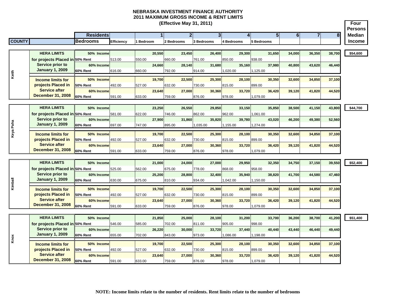**(Effective May 31, 2011)**

|               |                                                            |                        |            |                  |        | (Effective May 31, 2011) |                  |                    |                    |                |                |        | Four                     |
|---------------|------------------------------------------------------------|------------------------|------------|------------------|--------|--------------------------|------------------|--------------------|--------------------|----------------|----------------|--------|--------------------------|
|               |                                                            | <b>Residents</b>       |            |                  | 1      | 2 <sub>l</sub>           | 3 <sup>1</sup>   | 4                  | 5 <sub>1</sub>     | $6\phantom{1}$ | $\overline{7}$ | 8      | <b>Persons</b><br>Median |
| <b>COUNTY</b> |                                                            | <b>Bedrooms</b>        | Efficiency | <b>I</b> Bedroom |        | 2 Bedrooms               | 3 Bedrooms       | 4 Bedrooms         | 5 Bedrooms         |                |                |        | Income                   |
|               |                                                            |                        |            |                  |        |                          |                  |                    |                    |                |                |        |                          |
|               | <b>HERA LIMITS</b>                                         | 50% Income             |            |                  | 20,550 | 23,450                   | 26,400           | 29,300             | 31,650             | 34,000         | 36,350         | 38,700 | \$54,600                 |
|               | for projects Placed in 50% Rent                            |                        | 513.00     | 550.00           |        | 660.00                   | 761.00           | 850.00             | 938.00             |                |                |        |                          |
|               | <b>Service prior to</b>                                    | 60% Income             |            |                  | 24.660 | 28.140                   | 31,680           | 35.160             | 37,980             | 40,800         | 43,620         | 46,440 |                          |
|               | <b>January 1, 2009</b>                                     | 60% Rent               | 616.00     | 660.00           |        | 792.00                   | 914.00           | 1,020.00           | 1,125.00           |                |                |        |                          |
| Keith         |                                                            |                        |            |                  |        |                          |                  |                    |                    |                |                |        |                          |
|               | <b>Income limits for</b><br>projects Placed in             | 50% Income<br>50% Rent | 492.00     |                  | 19,700 | 22,500<br>632.00         | 25,300<br>730.00 | 28,100             | 30,350<br>899.00   | 32,600         | 34,850         | 37,100 |                          |
|               | <b>Service after</b>                                       | 60% Income             |            | 527.00           | 23.640 | 27,000                   | 30.360           | 815.00<br>33,720   | 36,420             | 39,120         | 41,820         | 44,520 |                          |
|               | <b>December 31, 2008</b>                                   | 60% Rent               | 591.00     | 633.00           |        | 759.00                   | 876.00           | 978.00             | 1,079.00           |                |                |        |                          |
|               |                                                            |                        |            |                  |        |                          |                  |                    |                    |                |                |        |                          |
|               | <b>HERA LIMITS</b>                                         | 50% Income             |            |                  | 23.250 | 26.550                   | 29.850           | 33.150             | 35,850             | 38,500         | 41,150         | 43,800 | \$44,700                 |
|               | for projects Placed in 50% Rent                            |                        | 581.00     | 622.00           |        | 746.00                   | 862.00           | 962.00             | .061.00            |                |                |        |                          |
|               | <b>Service prior to</b>                                    | 60% Income             |            |                  | 27,900 | 31,860                   | 35,820           | 39,780             | 43,020             | 46,200         | 49,380         | 52,560 |                          |
| Paha          | <b>January 1, 2009</b>                                     | <b>60% Rent</b>        | 697.00     | 747.00           |        | 895.00                   | 1,035.00         | 1,155.00           | 1,274.00           |                |                |        |                          |
| Keya          | <b>Income limits for</b>                                   | 50% Income             |            |                  | 19.700 | 22,500                   | 25,300           | 28,100             | 30,350             | 32,600         | 34,850         | 37,100 |                          |
|               | projects Placed in                                         | 50% Rent               | 492.00     | 527.00           |        | 632.00                   | 730.00           | 815.00             | 899.00             |                |                |        |                          |
|               | <b>Service after</b>                                       | 60% Income             |            |                  | 23,640 | 27,000                   | 30,360           | 33,720             | 36,420             | 39,120         | 41,820         | 44,520 |                          |
|               | <b>December 31, 2008</b>                                   | 60% Rent               | 591.00     | 633.00           |        | 759.00                   | 876.00           | 978.00             | 1,079.00           |                |                |        |                          |
|               |                                                            |                        |            |                  |        |                          |                  |                    |                    |                |                |        |                          |
|               | <b>HERA LIMITS</b>                                         | 50% Income             |            |                  | 21,000 | 24,000                   | 27,000           | 29,950             | 32,350             | 34,750         | 37,150         | 39,550 | \$52,400                 |
|               | for projects Placed in 50% Rent                            |                        | 525.00     | 562.00           |        | 675.00                   | 778.00           | 868.00             | 958.00             |                |                |        |                          |
|               | <b>Service prior to</b>                                    | 60% Income             |            |                  | 25.200 | 28.800                   | 32.400           | 35.940             | 38,820             | 41.700         | 44.580         | 47,460 |                          |
| Kimball       | <b>January 1, 2009</b>                                     | 60% Rent               | 630.00     | 675.00           |        | 810.00                   | 934.00           | 1,042.00           | 1,150.00           |                |                |        |                          |
|               | <b>Income limits for</b>                                   | 50% Income             |            |                  | 19.700 | 22.500                   | 25,300           | 28,100             | 30,350             | 32,600         | 34,850         | 37,100 |                          |
|               | projects Placed in                                         | 50% Rent               | 492.00     | 527.00           |        | 632.00                   | 730.00           | 815.00             | 899.00             |                |                |        |                          |
|               | <b>Service after</b>                                       | 60% Income             |            |                  | 23,640 | 27,000                   | 30,360           | 33,720             | 36,420             | 39,120         | 41,820         | 44,520 |                          |
|               | <b>December 31, 2008</b>                                   | 60% Rent               | 591.00     | 633.00           |        | 759.00                   | 876.00           | 978.00             | 1,079.00           |                |                |        |                          |
|               |                                                            |                        |            |                  |        |                          |                  |                    |                    |                |                |        |                          |
|               | <b>HERA LIMITS</b>                                         | 50% Income             |            |                  | 21,850 | 25,000                   | 28.100           | 31,200             | 33,700             | 36,200         | 38,700         | 41,200 | \$51,400                 |
|               | for projects Placed in 50% Rent<br><b>Service prior to</b> |                        | 546.00     | 585.00           |        | 702.00                   | 811.00           | 905.00             | 998.00             |                |                |        |                          |
|               | <b>January 1, 2009</b>                                     | 60% Income<br>60% Rent | 655.00     | 702.00           | 26,220 | 30,000<br>843.00         | 33,720<br>973.00 | 37,440<br>1,086.00 | 40,440<br>1,198.00 | 43,440         | 46,440         | 49,440 |                          |
| Knox          |                                                            |                        |            |                  |        |                          |                  |                    |                    |                |                |        |                          |
|               | <b>Income limits for</b>                                   | 50% Income             |            |                  | 19,700 | 22,500                   | 25,300           | 28,100             | 30,350             | 32,600         | 34,850         | 37,100 |                          |
|               | projects Placed in                                         | 50% Rent               | 492.00     | 527.00           |        | 632.00                   | 730.00           | 815.00             | 899.00             |                |                |        |                          |
|               | <b>Service after</b>                                       | 60% Income             |            |                  | 23,640 | 27,000                   | 30,360           | 33,720             | 36,420             | 39,120         | 41,820         | 44,520 |                          |
|               | <b>December 31, 2008</b>                                   | 60% Rent               | 591.00     | 633.00           |        | 759.00                   | 876.00           | 978.00             | 1,079.00           |                |                |        |                          |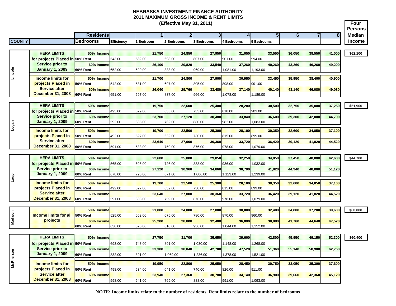|               | (Effective May 31, 2011)                                   |                        |            |                |        |            |              |            |                |            |        |            |                |        |                | Four<br><b>Persons</b> |               |
|---------------|------------------------------------------------------------|------------------------|------------|----------------|--------|------------|--------------|------------|----------------|------------|--------|------------|----------------|--------|----------------|------------------------|---------------|
|               |                                                            | <b>Residents</b>       |            |                |        |            | $\mathbf{2}$ |            | 3 <sup>1</sup> |            | 4      |            | 5 <sup>1</sup> | 6      | $\overline{7}$ | 8 <sup>l</sup>         | <b>Median</b> |
| <b>COUNTY</b> |                                                            | <b>Bedrooms</b>        | Efficiency | <b>Bedroom</b> |        | 2 Bedrooms |              | 3 Bedrooms |                | 4 Bedrooms |        | 5 Bedrooms |                |        |                |                        | <b>Income</b> |
|               |                                                            |                        |            |                |        |            |              |            |                |            |        |            |                |        |                |                        |               |
|               | <b>HERA LIMITS</b>                                         | 50% Income             |            |                | 21,750 |            | 24,850       |            | 27,950         |            | 31,050 |            | 33,550         | 36,050 | 38,550         | 41,000                 | \$62,100      |
|               | for projects Placed in 50% Rent                            |                        | 543.00     | 582.00         |        | 698.00     |              | 807.00     |                | 901.00     |        | 994.00     |                |        |                |                        |               |
|               | <b>Service prior to</b>                                    | 60% Income             |            |                | 26,100 |            | 29,820       |            | 33,540         |            | 37,260 |            | 40,260         | 43,260 | 46,260         | 49,200                 |               |
| Lincoln       | <b>January 1, 2009</b>                                     | 60% Rent               | 652.00     | 699.00         |        | 838.00     |              | 969.00     |                | 081.00     |        | 1,193.00   |                |        |                |                        |               |
|               | <b>Income limits for</b>                                   | 50% Income             |            |                | 21,700 |            | 24,800       |            | 27,900         |            | 30,950 |            | 33,450         | 35,950 | 38,400         | 40,900                 |               |
|               | projects Placed in                                         | <b>50% Rent</b>        | 542.00     | 581.00         |        | 697.00     |              | 805.00     |                | 898.00     |        | 991.00     |                |        |                |                        |               |
|               | <b>Service after</b>                                       | 60% Income             |            |                | 26,040 |            | 29,760       |            | 33,480         |            | 37,140 |            | 40,140         | 43,140 | 46,080         | 49,080                 |               |
|               | <b>December 31, 2008</b>                                   | 60% Rent               | 651.00     | 697.00         |        | 837.00     |              | 966.00     |                | 078.00     |        | 1,189.00   |                |        |                |                        |               |
|               |                                                            |                        |            |                |        |            |              |            |                |            |        |            |                |        |                |                        |               |
|               | <b>HERA LIMITS</b>                                         | 50% Income             |            |                | 19,750 |            | 22,600       |            | 25,400         |            | 28,200 |            | 30,500         | 32,750 | 35,000         | 37,250                 | \$51,900      |
|               | for projects Placed in 50% Rent<br><b>Service prior to</b> |                        | 493.00     | 529.00         |        | 635.00     |              | 733.00     |                | 818.00     |        | 903.00     |                |        |                |                        |               |
|               | <b>January 1, 2009</b>                                     | 60% Income<br>60% Rent | 592.00     | 635.00         | 23.700 | 762.00     | 27,120       | 880.00     | 30,480         | 982.00     | 33,840 | ,083.00    | 36,600         | 39,300 | 42,000         | 44,700                 |               |
| Logan         |                                                            |                        |            |                |        |            |              |            |                |            |        |            |                |        |                |                        |               |
|               | <b>Income limits for</b>                                   | 50% Income             |            |                | 19,700 |            | 22,500       |            | 25,300         |            | 28,100 |            | 30,350         | 32,600 | 34,850         | 37,100                 |               |
|               | projects Placed in                                         | <b>50% Rent</b>        | 492.00     | 527.00         |        | 632.00     |              | 730.00     |                | 815.00     |        | 899.00     |                |        |                |                        |               |
|               | <b>Service after</b><br><b>December 31, 2008</b>           | 60% Income             |            |                | 23,640 |            | 27,000       |            | 30,360         |            | 33,720 | 1,079.00   | 36,420         | 39,120 | 41,820         | 44,520                 |               |
|               |                                                            | 60% Rent               | 591.00     | 633.00         |        | 759.00     |              | 876.00     |                | 978.00     |        |            |                |        |                |                        |               |
|               | <b>HERA LIMITS</b>                                         | 50% Income             |            |                | 22,600 |            | 25,800       |            | 29,050         |            | 32,250 |            | 34,850         | 37,450 | 40,000         | 42,600                 | \$44,700      |
|               | for projects Placed in 50% Rent                            |                        | 565.00     | 605.00         |        | 726.00     |              | 838.00     |                | 936.00     |        | 0.032.00   |                |        |                |                        |               |
|               | <b>Service prior to</b>                                    | 60% Income             |            |                | 27,120 |            | 30,960       |            | 34,860         |            | 38,700 |            | 41,820         | 44,940 | 48,000         | 51,120                 |               |
|               | <b>January 1, 2009</b>                                     | 60% Rent               | 678.00     | 726.00         |        | 871.00     |              | 1,006.00   |                | 1,123.00   |        | 1,239.00   |                |        |                |                        |               |
| dno           | <b>Income limits for</b>                                   | 50% Income             |            |                | 19,700 |            | 22,500       |            | 25,300         |            | 28,100 |            | 30,350         | 32,600 | 34,850         | 37,100                 |               |
|               | projects Placed in                                         | <b>50% Rent</b>        | 492.00     | 527.00         |        | 632.00     |              | 730.00     |                | 815.00     |        | 899.00     |                |        |                |                        |               |
|               | <b>Service after</b>                                       | 60% Income             |            |                | 23,640 |            | 27,000       |            | 30,360         |            | 33,720 |            | 36,420         | 39,120 | 41,820         | 44,520                 |               |
|               | <b>December 31, 2008</b>                                   | 60% Rent               | 591.00     | 633.00         |        | 759.00     |              | 876.00     |                | 978.00     |        | 1,079.00   |                |        |                |                        |               |
|               |                                                            |                        |            |                |        |            |              |            |                |            |        |            |                |        |                |                        |               |
|               |                                                            | 50% Income             |            |                | 21,000 |            | 24,000       |            | 27,000         |            | 30,000 |            | 32,400         | 34,800 | 37,200         | 39,600                 | \$60,000      |
| Madison       | <b>Income limits for all</b>                               | <b>50% Rent</b>        | 525.00     | 562.00         |        | 675.00     |              | 780.00     |                | 870.00     |        | 960.00     |                |        |                |                        |               |
|               | projects                                                   | 60% Income             |            |                | 25,200 |            | 28,800       |            | 32,400         |            | 36,000 |            | 38,880         | 41,760 | 44,640         | 47,520                 |               |
|               |                                                            | 60% Rent               | 630.00     | 675.00         |        | 810.00     |              | 936.00     |                | 044.00     |        | 1,152.00   |                |        |                |                        |               |
|               | <b>HERA LIMITS</b>                                         | 50% Income             |            |                | 27,750 |            | 31,700       |            | 35,650         |            | 39,600 |            | 42,800         | 45,950 | 49,150         | 52,300                 | \$60,400      |
|               | for projects Placed in 50% Rent                            |                        | 693.00     | 743.00         |        | 891.00     |              | 1,030.00   |                | 1,148.00   |        | 1,268.00   |                |        |                |                        |               |
|               | <b>Service prior to</b>                                    | 60% Income             |            |                | 33,300 |            | 38,040       |            | 42,780         |            | 47,520 |            | 51,360         | 55,140 | 58,980         | 62,760                 |               |
|               | <b>January 1, 2009</b>                                     | 60% Rent               | 832.00     | 891.00         |        | 1,069.00   |              | 1,236.00   |                | 1,378.00   |        | 1,521.00   |                |        |                |                        |               |
| McPherson     |                                                            |                        |            |                |        |            |              |            |                |            |        |            |                |        |                |                        |               |
|               | <b>Income limits for</b>                                   | 50% Income             |            |                | 19,950 |            | 22,800       |            | 25,650         |            | 28,450 |            | 30,750         | 33,050 | 35,300         | 37,600                 |               |
|               | projects Placed in<br><b>Service after</b>                 | 50% Rent               | 498.00     | 534.00         |        | 641.00     |              | 740.00     |                | 826.00     |        | 911.00     |                |        |                |                        |               |
|               | <b>December 31, 2008</b>                                   | 60% Income             |            |                | 23,940 |            | 27,360       |            | 30,780         |            | 34,140 |            | 36,900         | 39,660 | 42,360         | 45,120                 |               |
|               |                                                            | 60% Rent               | 598.00     | 641.00         |        | 769.00     |              | 888.00     |                | 991.00     |        | 1,093.00   |                |        |                |                        |               |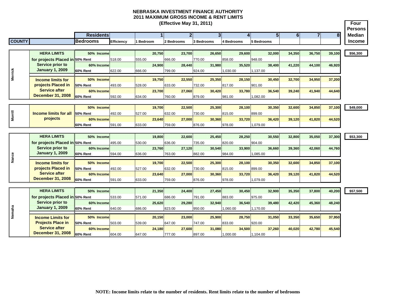|                | (Effective May 31, 2011)                          |                  |            |                |        |            |        |            |                |            |        |            |                |          |        | Four<br><b>Persons</b> |               |
|----------------|---------------------------------------------------|------------------|------------|----------------|--------|------------|--------|------------|----------------|------------|--------|------------|----------------|----------|--------|------------------------|---------------|
|                |                                                   | <b>Residents</b> |            |                |        |            | 2      |            | 3 <sup>l</sup> |            | 4      |            | 5 <sup>1</sup> | $6 \mid$ |        | 8 <sup>1</sup>         | <b>Median</b> |
| <b>COUNTY</b>  |                                                   | <b>Bedrooms</b>  | Efficiency | <b>Bedroom</b> |        | 2 Bedrooms |        | 3 Bedrooms |                | 4 Bedrooms |        | 5 Bedrooms |                |          |        |                        | <b>Income</b> |
|                |                                                   |                  |            |                |        |            |        |            |                |            |        |            |                |          |        |                        |               |
|                | <b>HERA LIMITS</b>                                | 50% Income       |            |                | 20,750 |            | 23,700 |            | 26,650         |            | 29,600 |            | 32,000         | 34,350   | 36,750 | 39,100                 | \$56,300      |
|                | for projects Placed in 50% Rent                   |                  | 518.00     | 555.00         |        | 666.00     |        | 770.00     |                | 858.00     |        | 948.00     |                |          |        |                        |               |
|                | <b>Service prior to</b>                           | 60% Income       |            |                | 24.900 |            | 28.440 |            | 31.980         |            | 35.520 |            | 38,400         | 41,220   | 44,100 | 46,920                 |               |
|                | <b>January 1, 2009</b>                            | 60% Rent         | 622.00     | 666.00         |        | 799.00     |        | 924.00     |                | 1,030.00   |        | 1,137.00   |                |          |        |                        |               |
| <b>Merrick</b> | <b>Income limits for</b>                          | 50% Income       |            |                | 19,750 |            | 22,550 |            | 25,350         |            | 28.150 |            | 30,450         | 32,700   | 34,950 | 37,200                 |               |
|                | projects Placed in                                | <b>50% Rent</b>  | 493.00     | 528.00         |        | 633.00     |        | 732.00     |                | 817.00     |        | 901.00     |                |          |        |                        |               |
|                | <b>Service after</b>                              | 60% Income       |            |                | 23,700 |            | 27,060 |            | 30,420         |            | 33.780 |            | 36.540         | 39,240   | 41.940 | 44,640                 |               |
|                | <b>December 31, 2008</b>                          | 60% Rent         | 592.00     | 634.00         |        | 760.00     |        | 879.00     |                | 981.00     |        | 1,082.00   |                |          |        |                        |               |
|                |                                                   |                  |            |                |        |            |        |            |                |            |        |            |                |          |        |                        |               |
| <b>Morrill</b> |                                                   | 50% Income       |            |                | 19,700 |            | 22,500 |            | 25,300         |            | 28,100 |            | 30,350         | 32,600   | 34,850 | 37,100                 | \$49,000      |
|                | Income limits for all                             | <b>50% Rent</b>  | 492.00     | 527.00         |        | 632.00     |        | 730.00     |                | 815.00     |        | 899.00     |                |          |        |                        |               |
|                | projects                                          | 60% Income       |            |                | 23,640 |            | 27,000 |            | 30,360         |            | 33,720 |            | 36,420         | 39,120   | 41,820 | 44,520                 |               |
|                |                                                   | <b>60% Rent</b>  | 591.00     | 633.00         |        | 759.00     |        | 876.00     |                | 978.00     |        | 1,079.00   |                |          |        |                        |               |
|                |                                                   |                  |            |                |        |            |        |            |                |            |        |            |                |          |        |                        |               |
|                | <b>HERA LIMITS</b>                                | 50% Income       |            |                | 19,800 |            | 22,600 |            | 25,450         |            | 28,250 |            | 30,550         | 32,800   | 35,050 | 37,300                 | \$53,300      |
|                | for projects Placed in 50% Rent                   |                  | 495.00     | 530.00         |        | 636.00     |        | 735.00     |                | 820.00     |        | 904.00     |                |          |        |                        |               |
|                | <b>Service prior to</b><br><b>January 1, 2009</b> | 60% Income       |            |                | 23,760 |            | 27.120 |            | 30,540         |            | 33,900 |            | 36.660         | 39,360   | 42,060 | 44,760                 |               |
| Nance          |                                                   | 60% Rent         | 594.00     | 636.00         |        | 763.00     |        | 882.00     |                | 984.00     |        | 1,085.00   |                |          |        |                        |               |
|                | <b>Income limits for</b>                          | 50% Income       |            |                | 19,700 |            | 22,500 |            | 25,300         |            | 28,100 |            | 30,350         | 32,600   | 34,850 | 37,100                 |               |
|                | projects Placed in                                | <b>50% Rent</b>  | 492.00     | 527.00         |        | 632.00     |        | 730.00     |                | 815.00     |        | 899.00     |                |          |        |                        |               |
|                | <b>Service after</b>                              | 60% Income       |            |                | 23.640 |            | 27,000 |            | 30.360         |            | 33.720 |            | 36,420         | 39,120   | 41,820 | 44,520                 |               |
|                | <b>December 31, 2008</b>                          | 60% Rent         | 591.00     | 633.00         |        | 759.00     |        | 876.00     |                | 978.00     |        | 1,079.00   |                |          |        |                        |               |
|                |                                                   |                  |            |                |        |            |        |            |                |            |        |            |                |          |        |                        |               |
|                | <b>HERA LIMITS</b>                                | 50% Income       |            |                | 21,350 |            | 24,400 |            | 27,450         |            | 30,450 |            | 32,900         | 35,350   | 37,800 | 40,200                 | \$57,500      |
|                | for projects Placed in 50% Rent                   |                  | 533.00     | 571.00         |        | 686.00     |        | 791.00     |                | 883.00     |        | 975.00     |                |          |        |                        |               |
|                | Service prior to<br><b>January 1, 2009</b>        | 60% Income       |            |                | 25,620 |            | 29,280 |            | 32,940         |            | 36,540 |            | 39,480         | 42,420   | 45,360 | 48,240                 |               |
| Nemaha         |                                                   | <b>60% Rent</b>  | 640.00     | 686.00         |        | 823.00     |        | 950.00     |                | 1,060.00   |        | 1,170.00   |                |          |        |                        |               |
|                | <b>Income Limits for</b>                          | 50% Income       |            |                | 20,150 |            | 23,000 |            | 25,900         |            | 28,750 |            | 31,050         | 33,350   | 35,650 | 37,950                 |               |
|                | <b>Projects Place in</b>                          | <b>50% Rent</b>  | 503.00     | 539.00         |        | 647.00     |        | 747.00     |                | 833.00     |        | 920.00     |                |          |        |                        |               |
|                | <b>Service after</b>                              | 60% Income       |            |                | 24,180 |            | 27,600 |            | 31,080         |            | 34,500 |            | 37,260         | 40,020   | 42,780 | 45,540                 |               |
|                | <b>December 31, 2008</b>                          | <b>60% Rent</b>  | 604.00     | 647.00         |        | 777.00     |        | 897.00     |                | 1,000.00   |        | 1,104.00   |                |          |        |                        |               |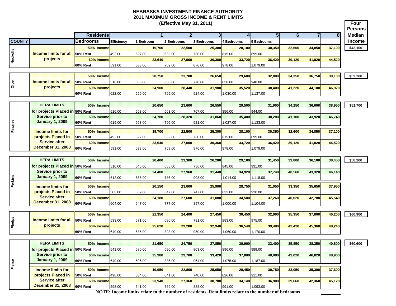**Four PersonsResidents 1 2 3 4 5 6 78 Median COUNTY Bedrooms Efficiency 1 Bedroom 2 Bedrooms 3 Bedrooms 4 Bedrooms 5 Bedrooms Income (Effective May 31, 2011) 50% Income 19,700 22,500 25,300 28,100 30,350 32,600 34,850 37,100 \$42,100 50% Rent** 492.00 527.00 632.00 730.00 815.00 899.00**60% Income 23,640 27,000 30,360 33,720 36,420 39,120 41,820 44,520 60% Rent** 591.00 633.00 759.00 876.00 978.00 1,079.00 **50% Income 20,750 23,700 26,650 29,600 32,000 34,350 36,750 39,100 \$59,200 50% Rent** 518.00 555.00 666.00 770.00 858.00 948.00**60% Income 24,900 28,440 31,980 35,520 38,400 41,220 44,100 46,920 60% Rent** 622.00 666.00 799.00 924.00 1,030.00 1,137.00 **HERA LIMITS 50% Income 20,650 23,600 26,550 29,500 31,900 34,250 36,600 38,950 \$51,700 for projects Placed in 50% Rent**  516.00 553.00 663.00 767.00 856.00 944.00**60% Income 24,780 28,320 31,860 35,400 38,280 41,100 43,920 46,740 60% Rent** 619.00 663.00 796.00 921.00 1,027.00 1,133.00 **50% Income 19,700 22,500 25,300 28,100 30,350 32,600 34,850 37,100 50% Rent** 492.00 527.00 632.00 730.00 815.00 899.00**60% Income 23,640 27,000 30,360 33,720 36,420 39,120 41,820 44,520 60% Rent** 591.00 633.00 759.00 876.00 978.00 1,079.00 **HERA LIMITS 50% Income 20,400 23,300 26,200 29,100 31,450 33,800 36,100 38,450 \$58,200 for projects Placed in 50% Rent**  510.00 546.00 655.00 756.00 845.00 931.00**60% Income 24,480 27,960 31,440 34,920 37,740 40,560 43,320 46,140 60% Rent** 612.00 655.00 786.00 908.00 1,014.00 1,118.00 **50% Income 20,150 23,000 25,900 28,750 31,050 33,350 35,650 37,950 50% Rent** 503.00 539.00 647.00 747.00 833.00 920.00**60% Income 24,180 27,600 31,080 34,500 37,260 40,020 42,780 45,540 60% Rent** 604.00 647.00 777.00 897.00 1,000.00 1,104.00 **50% Income 21,350 24,400 27,450 30,450 32,900 35,350 37,800 40,200 \$60,900 50% Rent** 533.00 571.00 686.00 791.00 883.00 975.00**60% Income 25,620 29,280 32,940 36,540 39,480 42,420 45,360 48,240 60% Rent** 640.00 686.00 823.00 950.00 1,060.00 1,170.00 **HERA LIMITS 50% Income 21,650 24,750 27,850 30,900 33,400 35,850 38,350 40,800 \$60,600 for projects Placed in 50% Rent**  541.00 580.00 696.00 803.00 896.00 989.00**60% Income 25,980 29,700 33,420 37,080 40,080 43,020 46,020 48,960 60% Rent** 649.00 696.00 835.00 964.00 1,075.00 1,187.00 **50% Income 19,950 22,800 25,650 28,450 30,750 33,050 35,300 37,600 50% Rent** 498.00 534.00 641.00 740.00 826.00 911.00**60% Income 23,940 27,360 30,780 34,140 36,900 39,660 42,360 45,120 60% Rent** 598.00 641.00 769.00 888.00 991.00 1,093.00 **Income limits for projects Placed in Service after December 31, 2008 Phelps Income limits for all projects Income limits for projects Placed in Service after December 31, 2008 Service prior to January 1, 2009 Service prior to January 1, 2009 OtoeIncome limits for all projects Income limits for projects Placed in Service after December 31, 2008 Pawnee Service prior to January 1, 2009 Nuckolas Concome limits for all projects** 

**Perkins**

**Pierce**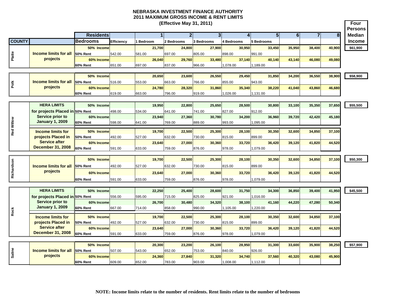**Four Persons Residents 1 2 3 4 5 6 78 Median COUNTY Bedrooms Efficiency 1 Bedroom 2 Bedrooms 3 Bedrooms 4 Bedrooms 5 Bedrooms Income (Effective May 31, 2011) 50% Income 21,700 24,800 27,900 30,950 33,450 35,950 38,400 40,900 \$61,900 50% Rent** 542.00 581.00 697.00 805.00 898.00 991.00**60% Income 26,040 29,760 33,480 37,140 40,140 43,140 46,080 49,080 60% Rent** 651.00 697.00 837.00 966.00 1,078.00 1,189.00 **50% Income 20,650 23,600 26,550 29,450 31,850 34,200 36,550 38,900 \$58,900 50% Rent** 516.00 553.00 663.00 766.00 855.00 943.00943.00 **60% Income 24,780 28,320 31,860 35,340 38,220 41,040 43,860 46,680 60% Rent** 619.00 663.00 796.00 919.00 1,026.00 1,131.00 **HERA LIMITS 50% Income 19,950 22,800 25,650 28,500 30,800 33,100 35,350 37,650 \$55,500 for projects Placed in 50% Rent**  498.00 534.00 641.00 741.00 827.00 912.00912.00 **60% Income 23,940 27,360 30,780 34,200 36,960 39,720 42,420 45,180 60% Rent** 598.00 641.00 769.00 889.00 993.00 1,095.00 **50% Income 19,700 22,500 25,300 28,100 30,350 32,600 34,850 37,100 50% Rent** 492.00 527.00 632.00 730.00 815.00 899.00899.00 **60% Income 23,640 27,000 30,360 33,720 36,420 39,120 41,820 44,520 60% Rent** 591.00 633.00 759.00 876.00 978.00 1,079.00 **50% Income 19,700 22,500 25,300 28,100 30,350 32,600 34,850 37,100 \$50,300 50% Rent** 492.00 527.00 632.00 730.00 815.00 899.00**60% Income 23,640 27,000 30,360 33,720 36,420 39,120 41,820 44,520 60% Rent** 591.00 633.00 759.00 876.00 978.00 1,079.00 **HERA LIMITS 50% Income 22,250 25,400 28,600 31,750 34,300 36,850 39,400 41,950 \$45,500 for projects Placed in 50% Rent**  556.00 595.00 715.00 825.00 921.00 1,016.00 **60% Income 26,700 30,480 34,320 38,100 41,160 44,220 47,280 50,340 60% Rent** 667.00 714.00 858.00 990.00 1,105.00 1,220.00 **50% Income 19,700 22,500 25,300 28,100 30,350 32,600 34,850 37,100 50% Rent** 492.00 527.00 632.00 730.00 815.00 899.00899.00 **60% Income 23,640 27,000 30,360 33,720 36,420 39,120 41,820 44,520 60% Rent** 591.00 633.00 759.00 876.00 978.00 1,079.00 **50% Income 20,300 23,200 26,100 28,950 31,300 33,600 35,900 38,250 \$57,900 50% Rent** 507.00 543.00 652.00 753.00 840.00 926.00**60% Income 24,360 27,840 31,320 34,740 37,560 40,320 43,080 45,900 60% Rent** 609.00 652.00 783.00 903.00 1,008.00 1,112.00 **Income limits for all projects Richardson Income limits for all projects**  $\frac{a}{b}$  **Income limits for projects Placed in Service after December 31, 2008 Service prior to January 1, 2009 Income limits for all<br>
projects**<br> **Salid Comme limits for all<br>
projects**<br> **Salid Comme limits for all<br>
PIERA LIMITS**<br> **Salid Comme limits for all projects Placed in**<br> **Salid Comme limits for all<br>
Projects Placed in**<br> **PIE PolkIncome limits for all projects Income limits for projects Placed in Service after December 31, 2008 Red Willow Service prior to January 1, 2009**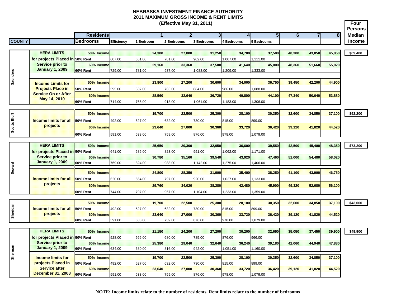|                 | (Effective May 31, 2011)                       |                               |            |                |        |            |                |            |                |                   |                |            |                |        |                |                  | Four<br><b>Persons</b> |
|-----------------|------------------------------------------------|-------------------------------|------------|----------------|--------|------------|----------------|------------|----------------|-------------------|----------------|------------|----------------|--------|----------------|------------------|------------------------|
|                 |                                                | <b>Residents</b>              |            |                |        |            | $\overline{2}$ |            | 3 <sup>l</sup> |                   | $\overline{4}$ |            | 5 <sup>1</sup> | 6      | $\overline{7}$ | $\boldsymbol{8}$ | <b>Median</b>          |
| <b>COUNTY</b>   |                                                | <b>Bedrooms</b>               | Efficiency | <b>Bedroom</b> |        | 2 Bedrooms |                | 3 Bedrooms |                | <b>1 Bedrooms</b> |                | 5 Bedrooms |                |        |                |                  | <b>Income</b>          |
|                 |                                                |                               |            |                |        |            |                |            |                |                   |                |            |                |        |                |                  |                        |
|                 | <b>HERA LIMITS</b>                             | 50% Income                    |            |                | 24.300 |            | 27,800         |            | 31.250         |                   | 34.700         |            | 37.500         | 40.300 | 43.050         | 45.850           | \$69,400               |
|                 | for projects Placed in 50% Rent                |                               | 607.00     | 651.00         |        | 781.00     |                | 902.00     |                | ,007.00           |                | 1,111.00   |                |        |                |                  |                        |
|                 | Service prior to                               | 60% Income                    |            |                | 29.160 |            | 33.360         |            | 37.500         |                   | 41.640         |            | 45.000         | 48.360 | 51,660         | 55.020           |                        |
|                 | <b>January 1, 2009</b>                         | <b>60% Rent</b>               | 729.00     | 781.00         |        | 937.00     |                | 1,083.00   |                | ,209.00           |                | 1,333.00   |                |        |                |                  |                        |
|                 |                                                |                               |            |                |        |            |                |            |                |                   |                |            |                |        |                |                  |                        |
| <b>Saunders</b> | <b>Income Limits for</b>                       | 50% Income                    |            |                | 23,800 |            | 27,200         |            | 30,600         |                   | 34,000         |            | 36,750         | 39,450 | 42,200         | 44,900           |                        |
|                 | <b>Projects Place in</b>                       | <b>50% Rent</b>               | 595.00     | 637.00         |        | 765.00     |                | 884.00     |                | 986.00            |                | 088.00     |                |        |                |                  |                        |
|                 | <b>Service On or After</b>                     | 60% Income                    |            |                | 28,560 |            | 32,640         |            | 36,720         |                   | 40,800         |            | 44,100         | 47,340 | 50,640         | 53,880           |                        |
|                 | May 14, 2010                                   | <b>60% Rent</b>               | 714.00     | 765.00         |        | 918.00     |                | 1,061.00   |                | ,183.00           |                | ,306.00    |                |        |                |                  |                        |
|                 |                                                |                               |            |                |        |            |                |            |                |                   |                |            |                |        |                |                  |                        |
|                 |                                                | 50% Income                    |            |                | 19.700 |            | 22,500         |            | 25,300         |                   | 28,100         |            | 30,350         | 32,600 | 34,850         | 37,100           | \$52,200               |
| Scotts Bluff    | <b>Income limits for all</b>                   | 50% Rent                      | 492.00     | 527.00         |        | 632.00     |                | 730.00     |                | 815.00            |                | 899.00     |                |        |                |                  |                        |
|                 | projects                                       | 60% Income                    |            |                | 23,640 |            | 27,000         |            | 30,360         |                   | 33,720         |            | 36,420         | 39,120 | 41,820         | 44,520           |                        |
|                 |                                                | <b>60% Rent</b>               | 591.00     | 633.00         |        | 759.00     |                | 876.00     |                | 978.00            |                | 1,079.00   |                |        |                |                  |                        |
|                 |                                                |                               |            |                |        |            |                |            |                |                   |                |            |                |        |                |                  |                        |
|                 | <b>HERA LIMITS</b>                             | 50% Income                    |            |                | 25,650 |            | 29,300         |            | 32,950         |                   | 36,600         |            | 39,550         | 42,500 | 45,400         | 48,350           | \$73,200               |
|                 | for projects Placed in 50% Rent                |                               | 641.00     | 686.00         |        | 823.00     |                | 951.00     |                | ,062.00           |                | 1,171.00   |                |        |                |                  |                        |
|                 | Service prior to                               | 60% Income                    |            |                | 30.780 |            | 35.160         |            | 39.540         |                   | 43.920         |            | 47.460         | 51.000 | 54,480         | 58.020           |                        |
|                 | <b>January 1, 2009</b>                         | <b>60% Rent</b>               | 769.00     | 824.00         |        | 988.00     |                | 1,142.00   |                | ,275.00           |                | 1,406.00   |                |        |                |                  |                        |
| Seward          |                                                |                               |            |                |        |            |                |            |                |                   |                |            |                |        |                |                  |                        |
|                 |                                                | 50% Income                    |            |                | 24,800 |            | 28,350         |            | 31,900         |                   | 35,400         |            | 38,250         | 41,100 | 43,900         | 46,750           |                        |
|                 | <b>Income limits for all</b>                   | 50% Rent                      | 620.00     | 664.00         |        | 797.00     |                | 920.00     |                | 1,027.00          |                | 1,133.00   |                |        |                |                  |                        |
|                 | projects                                       | 60% Income                    |            |                | 29,760 |            | 34,020         |            | 38,280         |                   | 42,480         |            | 45,900         | 49,320 | 52,680         | 56,100           |                        |
|                 |                                                | 60% Rent                      | 744.00     | 797.00         |        | 957.00     |                | 1,104.00   |                | ,233.00           |                | 1,359.00   |                |        |                |                  |                        |
|                 |                                                |                               |            |                |        |            |                |            |                |                   |                |            |                |        |                |                  |                        |
|                 | <b>Income limits for all</b>                   | 50% Income                    |            |                | 19,700 |            | 22,500         |            | 25,300         |                   | 28,100         |            | 30,350         | 32,600 | 34,850         | 37,100           | \$43,000               |
| Sheridan        | projects                                       | <b>50% Rent</b>               | 492.00     | 527.00         | 23.640 | 632.00     | 27,000         | 730.00     | 30.360         | 815.00            | 33.720         | 899.00     |                |        |                |                  |                        |
|                 |                                                | 60% Income<br><b>60% Rent</b> | 591.00     | 633.00         |        | 759.00     |                | 876.00     |                | 978.00            |                | 079.00     | 36,420         | 39,120 | 41,820         | 44,520           |                        |
|                 |                                                |                               |            |                |        |            |                |            |                |                   |                |            |                |        |                |                  |                        |
|                 | <b>HERA LIMITS</b>                             | 50% Income                    |            |                | 21,150 |            | 24,200         |            | 27,200         |                   | 30,200         |            | 32,650         | 35,050 | 37,450         | 39,900           | \$49,900               |
|                 | for projects Placed in 50% Rent                |                               | 528.00     | 566.00         |        | 680.00     |                | 785.00     |                | 876.00            |                | 966.00     |                |        |                |                  |                        |
|                 | Service prior to                               | 60% Income                    |            |                | 25.380 |            | 29.040         |            | 32.640         |                   | 36.240         |            | 39.180         | 42.060 | 44.940         | 47.880           |                        |
|                 | <b>January 1, 2009</b>                         | <b>60% Rent</b>               | 634.00     | 680.00         |        | 816.00     |                | 942.00     |                | .051.00           |                | 1,160.00   |                |        |                |                  |                        |
| Sherman         |                                                |                               |            |                |        |            |                |            |                |                   |                |            |                |        |                |                  |                        |
|                 | <b>Income limits for</b><br>projects Placed in | 50% Income<br><b>50% Rent</b> | 492.00     | 527.00         | 19,700 | 632.00     | 22,500         | 730.00     | 25,300         | 815.00            | 28,100         | 899.00     | 30,350         | 32,600 | 34,850         | 37,100           |                        |
|                 | <b>Service after</b>                           | 60% Income                    |            |                | 23,640 |            | 27,000         |            | 30.360         |                   | 33,720         |            | 36,420         | 39,120 | 41,820         | 44,520           |                        |
|                 | <b>December 31, 2008</b>                       | <b>60% Rent</b>               | 591.00     | 633.00         |        | 759.00     |                | 876.00     |                | 978.00            |                | 1,079.00   |                |        |                |                  |                        |
|                 |                                                |                               |            |                |        |            |                |            |                |                   |                |            |                |        |                |                  |                        |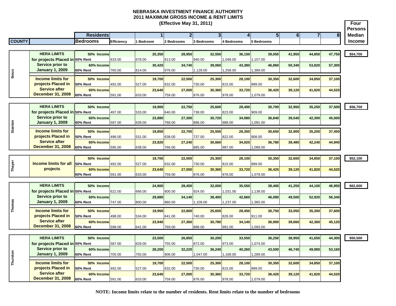#### **NEBRASKA INVESTMENT FINANCE AUTHORITY 2011 MAXIMUM GROSS INCOME & RENT LIMITS (Effective May 31, 2011)**

Е

┓

|               | (Effective May 31, 2011)                   |                               |            |        |         |        |                |        |                   |          |            |          |                |                         |                | Four<br><b>Persons</b> |               |
|---------------|--------------------------------------------|-------------------------------|------------|--------|---------|--------|----------------|--------|-------------------|----------|------------|----------|----------------|-------------------------|----------------|------------------------|---------------|
|               |                                            | <b>Residents</b>              |            |        |         |        | $\overline{2}$ |        | 3 <sup>1</sup>    |          | 4          |          | 5 <sub>5</sub> | $\overline{\mathbf{6}}$ | $\overline{7}$ | 8                      | Median        |
| <b>COUNTY</b> |                                            | <b>Bedrooms</b>               | Efficiency |        | Bedroom |        | 2 Bedrooms     |        | <b>3 Bedrooms</b> |          | 4 Bedrooms |          | 5 Bedrooms     |                         |                |                        | <b>Income</b> |
|               |                                            |                               |            |        |         |        |                |        |                   |          |            |          |                |                         |                |                        |               |
|               | <b>HERA LIMITS</b>                         | 50% Income                    |            |        | 25.350  |        | 28.950         |        | 32.550            |          | 36,150     |          | 39.050         | 41.950                  | 44,850         | 47,750                 | \$54,700      |
|               | for projects Placed in 50% Rent            |                               | 633.00     | 678.00 |         | 813.00 |                | 940.00 |                   | 1.048.00 |            | 1,157.00 |                |                         |                |                        |               |
|               | Service prior to                           | 60% Income                    |            |        | 30.420  |        | 34.740         |        | 39,060            |          | 43.380     |          | 46.860         | 50,340                  | 53,820         | 57,300                 |               |
| Sioux         | <b>January 1, 2009</b>                     | 60% Rent                      | 760.00     | 814.00 |         | 976.00 |                | 128.00 |                   | 1,258.00 |            | 1,389.00 |                |                         |                |                        |               |
|               | <b>Income limits for</b>                   | 50% Income                    |            |        | 19,700  |        | 22,500         |        | 25,300            |          | 28.100     |          | 30,350         | 32,600                  | 34,850         | 37,100                 |               |
|               | projects Placed in                         | <b>50% Rent</b>               | 492.00     | 527.00 |         | 632.00 |                | 730.00 |                   | 815.00   |            | 899.00   |                |                         |                |                        |               |
|               | <b>Service after</b>                       | 60% Income                    |            |        | 23,640  |        | 27,000         |        | 30,360            |          | 33,720     |          | 36,420         | 39,120                  | 41,820         | 44,520                 |               |
|               | <b>December 31, 2008</b>                   | 60% Rent                      | 591.00     | 633.00 |         | 759.00 |                | 876.00 |                   | 978.00   |            | 1,079.00 |                |                         |                |                        |               |
|               |                                            |                               |            |        |         |        |                |        |                   |          |            |          |                |                         |                |                        |               |
|               | <b>HERA LIMITS</b>                         | 50% Income                    |            |        | 19.900  |        | 22.750         |        | 25.600            |          | 28,400     |          | 30.700         | 32.950                  | 35,250         | 37,500                 | \$56,700      |
|               | for projects Placed in 50% Rent            |                               | 497.00     | 533.00 |         | 640.00 |                | 738.00 |                   | 823.00   |            | 909.00   |                |                         |                |                        |               |
|               | <b>Service prior to</b>                    | 60% Income                    |            |        | 23,880  |        | 27,300         |        | 30.720            |          | 34.080     |          | 36.840         | 39,540                  | 42,300         | 45,000                 |               |
|               | <b>January 1, 2009</b>                     | 60% Rent                      | 597.00     | 639.00 |         | 768.00 |                | 886.00 |                   | 988.00   |            | 1,091.00 |                |                         |                |                        |               |
| Stanton       | <b>Income limits for</b>                   | 50% Income                    |            |        | 19.850  |        | 22,700         |        | 25.550            |          | 28.350     |          | 30,650         | 32,900                  | 35,200         | 37,450                 |               |
|               | projects Placed in                         | 50% Rent                      | 496.00     | 531.00 |         | 638.00 |                | 737.00 |                   | 822.00   |            | 908.00   |                |                         |                |                        |               |
|               | <b>Service after</b>                       | 60% Income                    |            |        | 23,820  |        | 27,240         |        | 30,660            |          | 34,020     |          | 36,780         | 39,480                  | 42,240         | 44,940                 |               |
|               | <b>December 31, 2008</b>                   | <b>60% Rent</b>               | 595.00     | 638.00 |         | 766.00 |                | 885.00 |                   | 987.00   |            | 1,089.00 |                |                         |                |                        |               |
|               |                                            |                               |            |        |         |        |                |        |                   |          |            |          |                |                         |                |                        |               |
|               |                                            | 50% Income                    |            |        | 19.700  |        | 22,500         |        | 25.300            |          | 28.100     |          | 30.350         | 32.600                  | 34.850         | 37,100                 | \$52,100      |
| Thayer        | <b>Income limits for all</b>               | 50% Rent                      | 492.00     | 527.00 |         | 632.00 |                | 730.00 |                   | 815.00   |            | 899.00   |                |                         |                |                        |               |
|               | projects                                   | 60% Income                    |            |        | 23,640  |        | 27,000         |        | 30,360            |          | 33,720     |          | 36,420         | 39,120                  | 41,820         | 44,520                 |               |
|               |                                            | 60% Rent                      | 591.00     | 633.00 |         | 759.00 |                | 876.00 |                   | 978.00   |            | 1,079.00 |                |                         |                |                        |               |
|               | <b>HERA LIMITS</b>                         | 50% Income                    |            |        | 24.900  |        | 28.450         |        | 32,000            |          | 35.550     |          | 38,400         | 41.250                  | 44.100         | 46,950                 | \$62,600      |
|               | for projects Placed in 50% Rent            |                               | 622.00     | 666.00 |         | 800.00 |                | 924.00 |                   | 1,031.00 |            | 1,138.00 |                |                         |                |                        |               |
|               | <b>Service prior to</b>                    | 60% Income                    |            |        | 29.880  |        | 34.140         |        | 38,400            |          | 42.660     |          | 46.080         | 49.500                  | 52.920         | 56,340                 |               |
| Thomas        | <b>January 1, 2009</b>                     | 60% Rent                      | 747.00     | 800.00 |         | 960.00 |                | 109.00 |                   | 1,237.00 |            | 1,365.00 |                |                         |                |                        |               |
|               |                                            |                               |            |        |         |        |                |        |                   |          |            |          |                |                         |                |                        |               |
|               | <b>Income limits for</b>                   | 50% Income                    |            |        | 19,950  |        | 22,800         |        | 25,650            |          | 28,450     |          | 30,750         | 33,050                  | 35,300         | 37,600                 |               |
|               | projects Placed in<br><b>Service after</b> | <b>50% Rent</b>               | 498.00     | 534.00 |         | 641.00 |                | 740.00 |                   | 826.00   |            | 911.00   |                |                         |                |                        |               |
|               | <b>December 31, 2008</b>                   | 60% Income<br>60% Rent        | 598.00     | 641.00 | 23.940  | 769.00 | 27,360         | 888.00 | 30.780            | 991.00   | 34,140     | 1,093.00 | 36,900         | 39,660                  | 42,360         | 45,120                 |               |
|               |                                            |                               |            |        |         |        |                |        |                   |          |            |          |                |                         |                |                        |               |
|               | <b>HERA LIMITS</b>                         | 50% Income                    |            |        | 23.500  |        | 26.850         |        | 30.200            |          | 33,550     |          | 36.250         | 38,950                  | 41,650         | 44,300                 | \$50,500      |
|               | for projects Placed in 50% Rent            |                               | 587.00     | 629.00 |         | 755.00 |                | 872.00 |                   | 973.00   |            | 1,074.00 |                |                         |                |                        |               |
|               | <b>Service prior to</b>                    | 60% Income                    |            |        | 28,200  |        | 32.220         |        | 36.240            |          | 40.260     |          | 43,500         | 46,740                  | 49.980         | 53,160                 |               |
|               | <b>January 1, 2009</b>                     | 60% Rent                      | 705.00     | 755.00 |         | 906.00 |                | 047.00 |                   | 1,168.00 |            | 1,289.00 |                |                         |                |                        |               |
| Thurston      |                                            |                               |            |        |         |        |                |        |                   |          |            |          |                |                         |                |                        |               |
|               | <b>Income limits for</b>                   | 50% Income                    |            |        | 19,700  |        | 22,500         |        | 25,300            |          | 28,100     |          | 30,350         | 32,600                  | 34,850         | 37,100                 |               |
|               | projects Placed in<br><b>Service after</b> | 50% Rent                      | 492.00     | 527.00 |         | 632.00 |                | 730.00 |                   | 815.00   |            | 899.00   |                |                         |                |                        |               |
|               | <b>December 31, 2008</b>                   | 60% Income<br><b>60% Rent</b> | 591.00     | 633.00 | 23,640  | 759.00 | 27.000         | 876.00 | 30,360            | 978.00   | 33,720     | 1,079.00 | 36,420         | 39,120                  | 41,820         | 44,520                 |               |
|               |                                            |                               |            |        |         |        |                |        |                   |          |            |          |                |                         |                |                        |               |